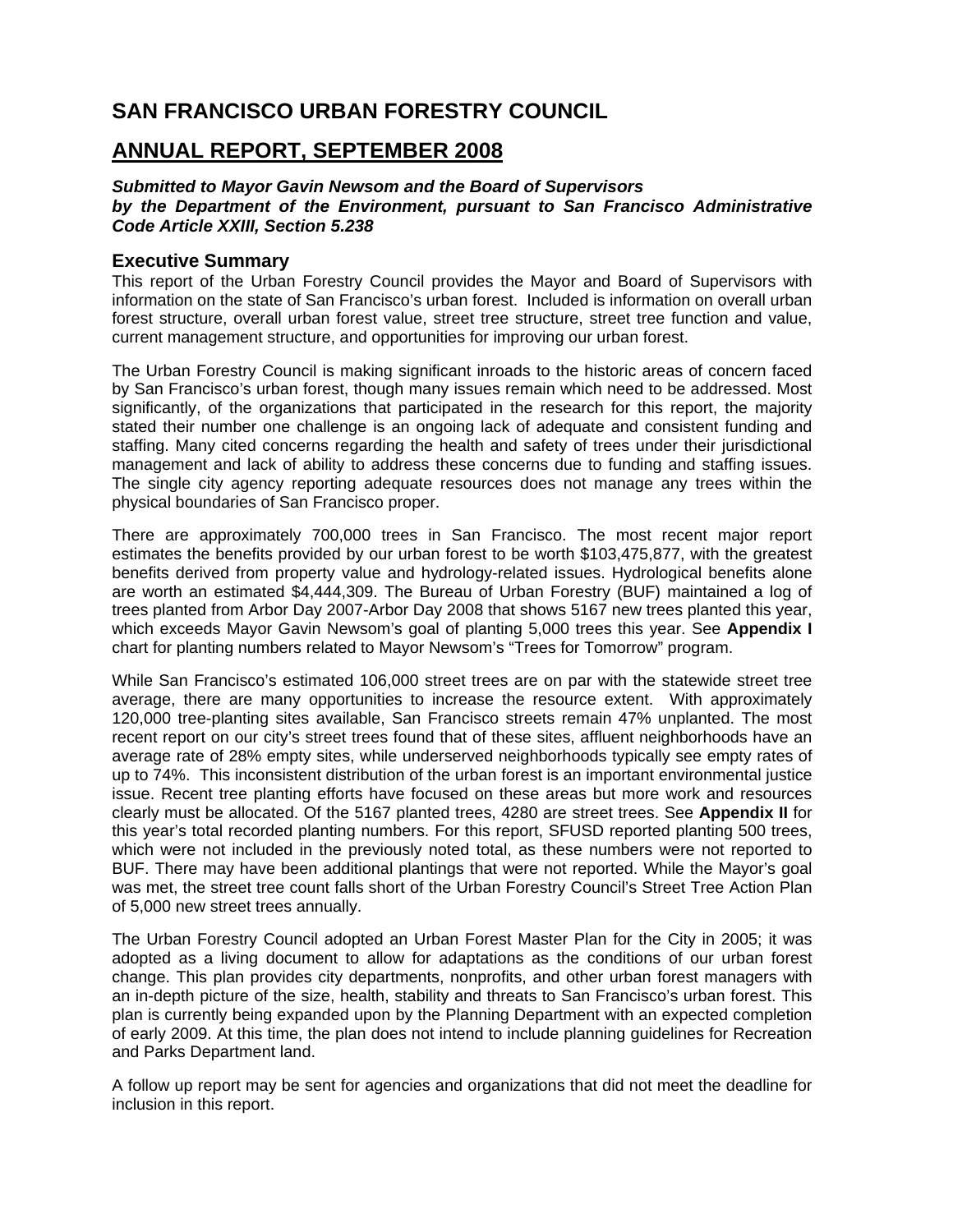# **SAN FRANCISCO URBAN FORESTRY COUNCIL**

### **ANNUAL REPORT, SEPTEMBER 2008**

#### *Submitted to Mayor Gavin Newsom and the Board of Supervisors by the Department of the Environment, pursuant to San Francisco Administrative Code Article XXIII, Section 5.238*

#### **Executive Summary**

This report of the Urban Forestry Council provides the Mayor and Board of Supervisors with information on the state of San Francisco's urban forest. Included is information on overall urban forest structure, overall urban forest value, street tree structure, street tree function and value, current management structure, and opportunities for improving our urban forest.

The Urban Forestry Council is making significant inroads to the historic areas of concern faced by San Francisco's urban forest, though many issues remain which need to be addressed. Most significantly, of the organizations that participated in the research for this report, the majority stated their number one challenge is an ongoing lack of adequate and consistent funding and staffing. Many cited concerns regarding the health and safety of trees under their jurisdictional management and lack of ability to address these concerns due to funding and staffing issues. The single city agency reporting adequate resources does not manage any trees within the physical boundaries of San Francisco proper.

There are approximately 700,000 trees in San Francisco. The most recent major report estimates the benefits provided by our urban forest to be worth \$103,475,877, with the greatest benefits derived from property value and hydrology-related issues. Hydrological benefits alone are worth an estimated \$4,444,309. The Bureau of Urban Forestry (BUF) maintained a log of trees planted from Arbor Day 2007-Arbor Day 2008 that shows 5167 new trees planted this year, which exceeds Mayor Gavin Newsom's goal of planting 5,000 trees this year. See **Appendix I** chart for planting numbers related to Mayor Newsom's "Trees for Tomorrow" program.

While San Francisco's estimated 106,000 street trees are on par with the statewide street tree average, there are many opportunities to increase the resource extent. With approximately 120,000 tree-planting sites available, San Francisco streets remain 47% unplanted. The most recent report on our city's street trees found that of these sites, affluent neighborhoods have an average rate of 28% empty sites, while underserved neighborhoods typically see empty rates of up to 74%. This inconsistent distribution of the urban forest is an important environmental justice issue. Recent tree planting efforts have focused on these areas but more work and resources clearly must be allocated. Of the 5167 planted trees, 4280 are street trees. See **Appendix II** for this year's total recorded planting numbers. For this report, SFUSD reported planting 500 trees, which were not included in the previously noted total, as these numbers were not reported to BUF. There may have been additional plantings that were not reported. While the Mayor's goal was met, the street tree count falls short of the Urban Forestry Council's Street Tree Action Plan of 5,000 new street trees annually.

The Urban Forestry Council adopted an Urban Forest Master Plan for the City in 2005; it was adopted as a living document to allow for adaptations as the conditions of our urban forest change. This plan provides city departments, nonprofits, and other urban forest managers with an in-depth picture of the size, health, stability and threats to San Francisco's urban forest. This plan is currently being expanded upon by the Planning Department with an expected completion of early 2009. At this time, the plan does not intend to include planning guidelines for Recreation and Parks Department land.

A follow up report may be sent for agencies and organizations that did not meet the deadline for inclusion in this report.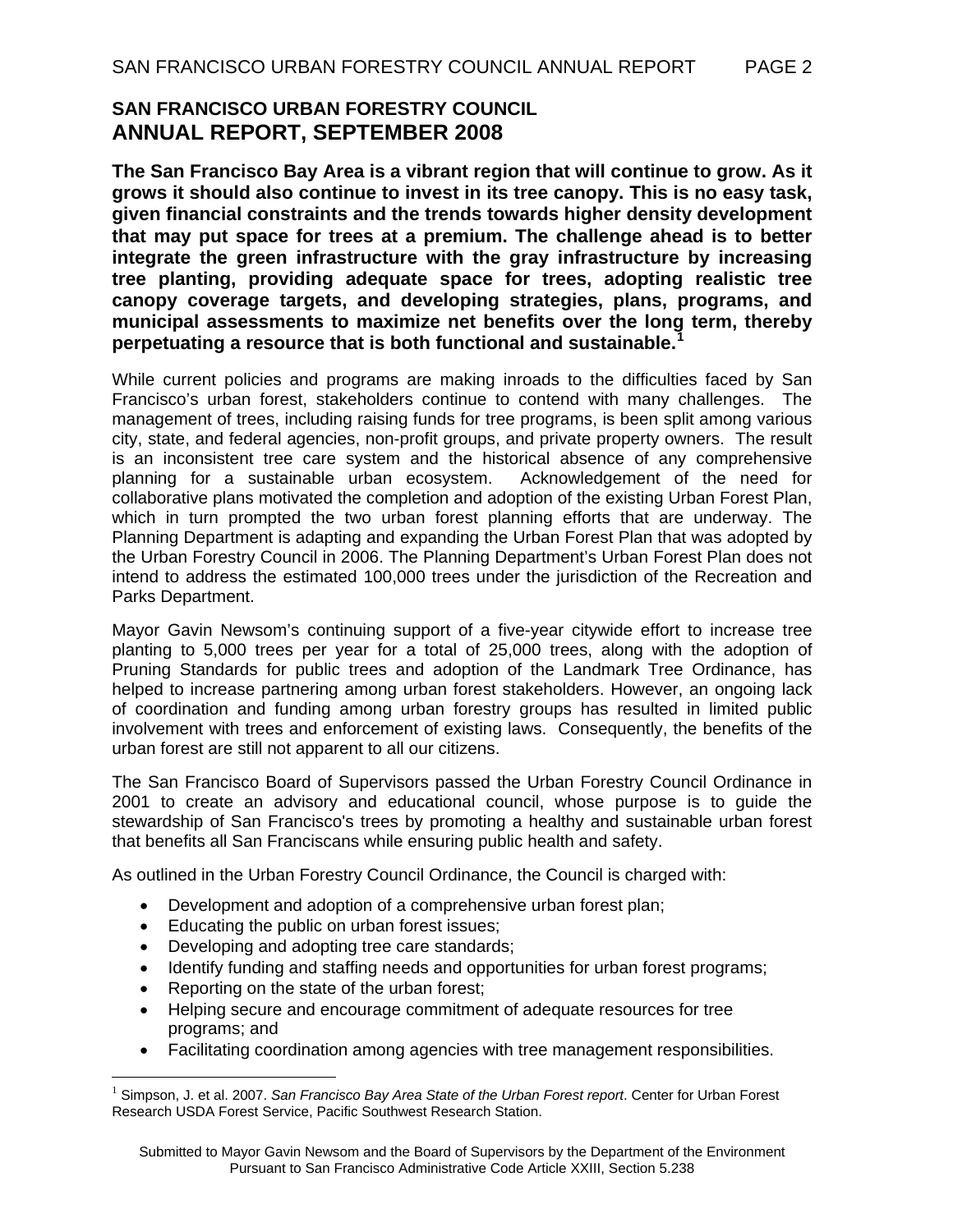## **SAN FRANCISCO URBAN FORESTRY COUNCIL ANNUAL REPORT, SEPTEMBER 2008**

**The San Francisco Bay Area is a vibrant region that will continue to grow. As it grows it should also continue to invest in its tree canopy. This is no easy task, given financial constraints and the trends towards higher density development that may put space for trees at a premium. The challenge ahead is to better integrate the green infrastructure with the gray infrastructure by increasing tree planting, providing adequate space for trees, adopting realistic tree canopy coverage targets, and developing strategies, plans, programs, and municipal assessments to maximize net benefits over the long term, thereby perpetuating a resource that is both functional and sustainable.[1](#page-1-0)**

While current policies and programs are making inroads to the difficulties faced by San Francisco's urban forest, stakeholders continue to contend with many challenges. The management of trees, including raising funds for tree programs, is been split among various city, state, and federal agencies, non-profit groups, and private property owners. The result is an inconsistent tree care system and the historical absence of any comprehensive planning for a sustainable urban ecosystem. Acknowledgement of the need for collaborative plans motivated the completion and adoption of the existing Urban Forest Plan, which in turn prompted the two urban forest planning efforts that are underway. The Planning Department is adapting and expanding the Urban Forest Plan that was adopted by the Urban Forestry Council in 2006. The Planning Department's Urban Forest Plan does not intend to address the estimated 100,000 trees under the jurisdiction of the Recreation and Parks Department.

Mayor Gavin Newsom's continuing support of a five-year citywide effort to increase tree planting to 5,000 trees per year for a total of 25,000 trees, along with the adoption of Pruning Standards for public trees and adoption of the Landmark Tree Ordinance, has helped to increase partnering among urban forest stakeholders. However, an ongoing lack of coordination and funding among urban forestry groups has resulted in limited public involvement with trees and enforcement of existing laws. Consequently, the benefits of the urban forest are still not apparent to all our citizens.

The San Francisco Board of Supervisors passed the Urban Forestry Council Ordinance in 2001 to create an advisory and educational council, whose purpose is to guide the stewardship of San Francisco's trees by promoting a healthy and sustainable urban forest that benefits all San Franciscans while ensuring public health and safety.

As outlined in the Urban Forestry Council Ordinance, the Council is charged with:

- Development and adoption of a comprehensive urban forest plan;
- Educating the public on urban forest issues;
- Developing and adopting tree care standards;
- Identify funding and staffing needs and opportunities for urban forest programs;
- Reporting on the state of the urban forest;

 $\overline{a}$ 

- Helping secure and encourage commitment of adequate resources for tree programs; and
- Facilitating coordination among agencies with tree management responsibilities.

<span id="page-1-0"></span><sup>1</sup> Simpson, J. et al. 2007. *San Francisco Bay Area State of the Urban Forest report*. Center for Urban Forest Research USDA Forest Service, Pacific Southwest Research Station.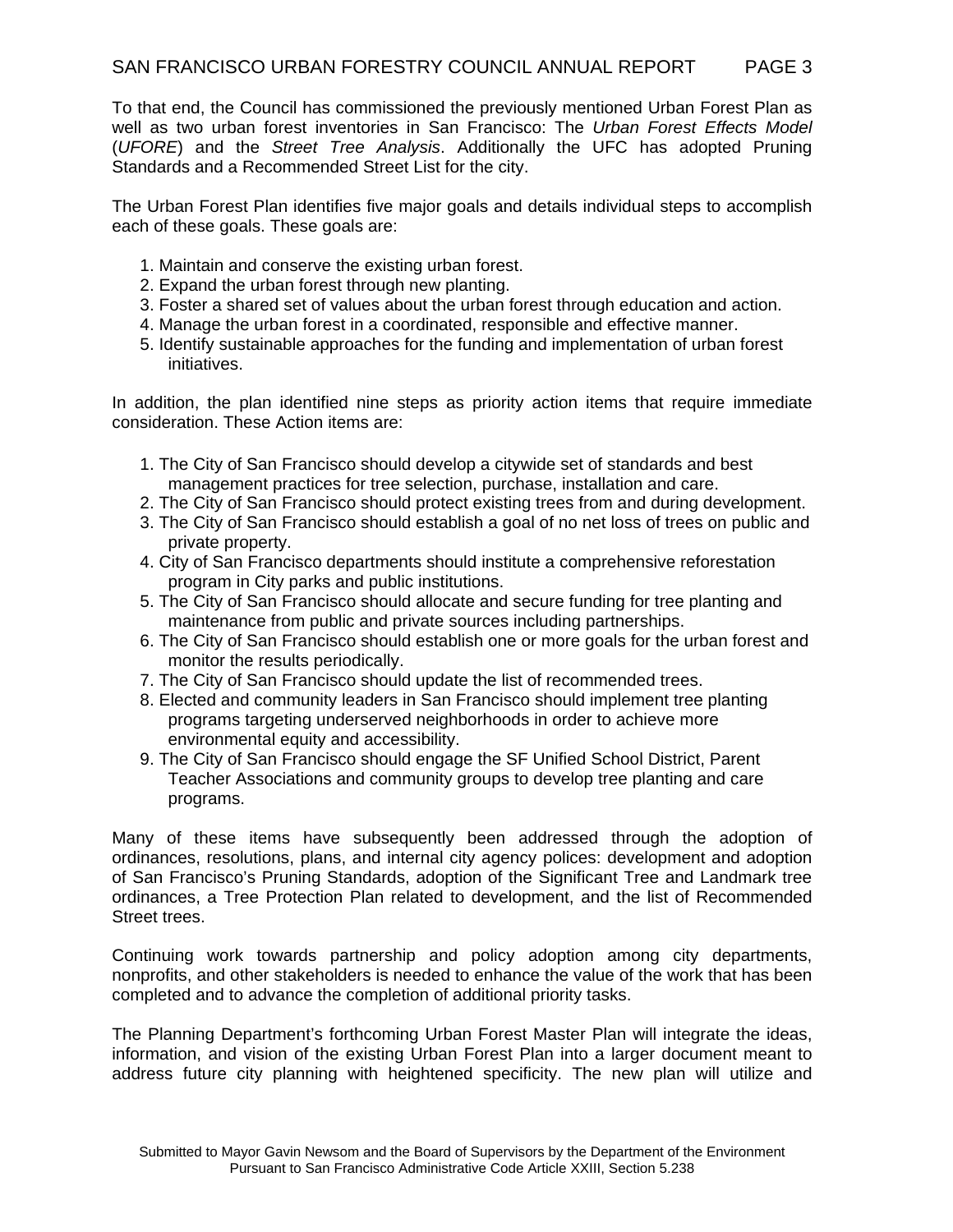To that end, the Council has commissioned the previously mentioned Urban Forest Plan as well as two urban forest inventories in San Francisco: The *Urban Forest Effects Model* (*UFORE*) and the *Street Tree Analysis*. Additionally the UFC has adopted Pruning Standards and a Recommended Street List for the city.

The Urban Forest Plan identifies five major goals and details individual steps to accomplish each of these goals. These goals are:

- 1. Maintain and conserve the existing urban forest.
- 2. Expand the urban forest through new planting.
- 3. Foster a shared set of values about the urban forest through education and action.
- 4. Manage the urban forest in a coordinated, responsible and effective manner.
- 5. Identify sustainable approaches for the funding and implementation of urban forest initiatives.

In addition, the plan identified nine steps as priority action items that require immediate consideration. These Action items are:

- 1. The City of San Francisco should develop a citywide set of standards and best management practices for tree selection, purchase, installation and care.
- 2. The City of San Francisco should protect existing trees from and during development.
- 3. The City of San Francisco should establish a goal of no net loss of trees on public and private property.
- 4. City of San Francisco departments should institute a comprehensive reforestation program in City parks and public institutions.
- 5. The City of San Francisco should allocate and secure funding for tree planting and maintenance from public and private sources including partnerships.
- 6. The City of San Francisco should establish one or more goals for the urban forest and monitor the results periodically.
- 7. The City of San Francisco should update the list of recommended trees.
- 8. Elected and community leaders in San Francisco should implement tree planting programs targeting underserved neighborhoods in order to achieve more environmental equity and accessibility.
- 9. The City of San Francisco should engage the SF Unified School District, Parent Teacher Associations and community groups to develop tree planting and care programs.

Many of these items have subsequently been addressed through the adoption of ordinances, resolutions, plans, and internal city agency polices: development and adoption of San Francisco's Pruning Standards, adoption of the Significant Tree and Landmark tree ordinances, a Tree Protection Plan related to development, and the list of Recommended Street trees.

Continuing work towards partnership and policy adoption among city departments, nonprofits, and other stakeholders is needed to enhance the value of the work that has been completed and to advance the completion of additional priority tasks.

The Planning Department's forthcoming Urban Forest Master Plan will integrate the ideas, information, and vision of the existing Urban Forest Plan into a larger document meant to address future city planning with heightened specificity. The new plan will utilize and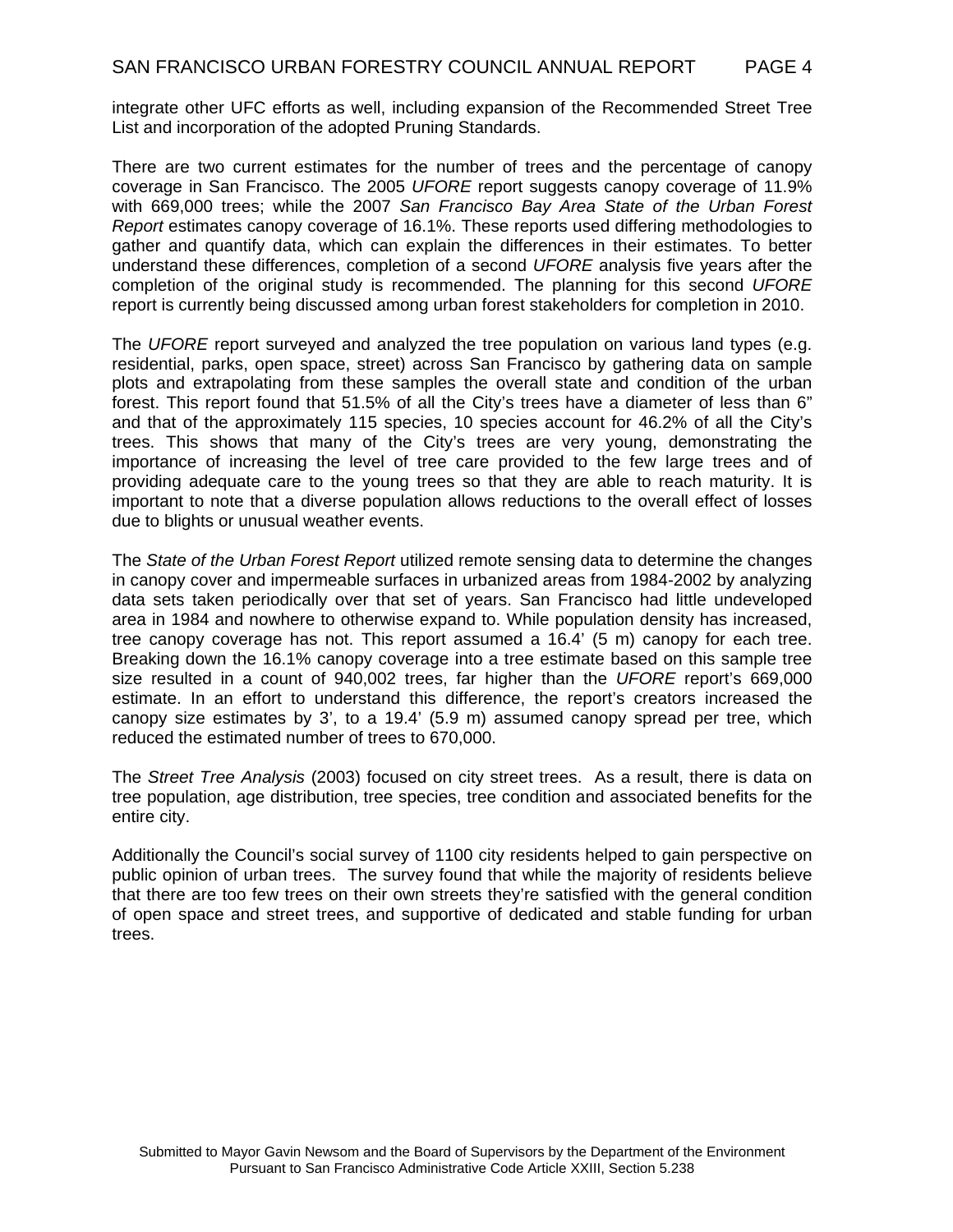integrate other UFC efforts as well, including expansion of the Recommended Street Tree List and incorporation of the adopted Pruning Standards.

There are two current estimates for the number of trees and the percentage of canopy coverage in San Francisco. The 2005 *UFORE* report suggests canopy coverage of 11.9% with 669,000 trees; while the 2007 *San Francisco Bay Area State of the Urban Forest Report* estimates canopy coverage of 16.1%. These reports used differing methodologies to gather and quantify data, which can explain the differences in their estimates. To better understand these differences, completion of a second *UFORE* analysis five years after the completion of the original study is recommended. The planning for this second *UFORE* report is currently being discussed among urban forest stakeholders for completion in 2010.

The *UFORE* report surveyed and analyzed the tree population on various land types (e.g. residential, parks, open space, street) across San Francisco by gathering data on sample plots and extrapolating from these samples the overall state and condition of the urban forest. This report found that 51.5% of all the City's trees have a diameter of less than 6" and that of the approximately 115 species, 10 species account for 46.2% of all the City's trees. This shows that many of the City's trees are very young, demonstrating the importance of increasing the level of tree care provided to the few large trees and of providing adequate care to the young trees so that they are able to reach maturity. It is important to note that a diverse population allows reductions to the overall effect of losses due to blights or unusual weather events.

The *State of the Urban Forest Report* utilized remote sensing data to determine the changes in canopy cover and impermeable surfaces in urbanized areas from 1984-2002 by analyzing data sets taken periodically over that set of years. San Francisco had little undeveloped area in 1984 and nowhere to otherwise expand to. While population density has increased, tree canopy coverage has not. This report assumed a 16.4' (5 m) canopy for each tree. Breaking down the 16.1% canopy coverage into a tree estimate based on this sample tree size resulted in a count of 940,002 trees, far higher than the *UFORE* report's 669,000 estimate. In an effort to understand this difference, the report's creators increased the canopy size estimates by 3', to a 19.4' (5.9 m) assumed canopy spread per tree, which reduced the estimated number of trees to 670,000.

The *Street Tree Analysis* (2003) focused on city street trees. As a result, there is data on tree population, age distribution, tree species, tree condition and associated benefits for the entire city.

Additionally the Council's social survey of 1100 city residents helped to gain perspective on public opinion of urban trees. The survey found that while the majority of residents believe that there are too few trees on their own streets they're satisfied with the general condition of open space and street trees, and supportive of dedicated and stable funding for urban trees.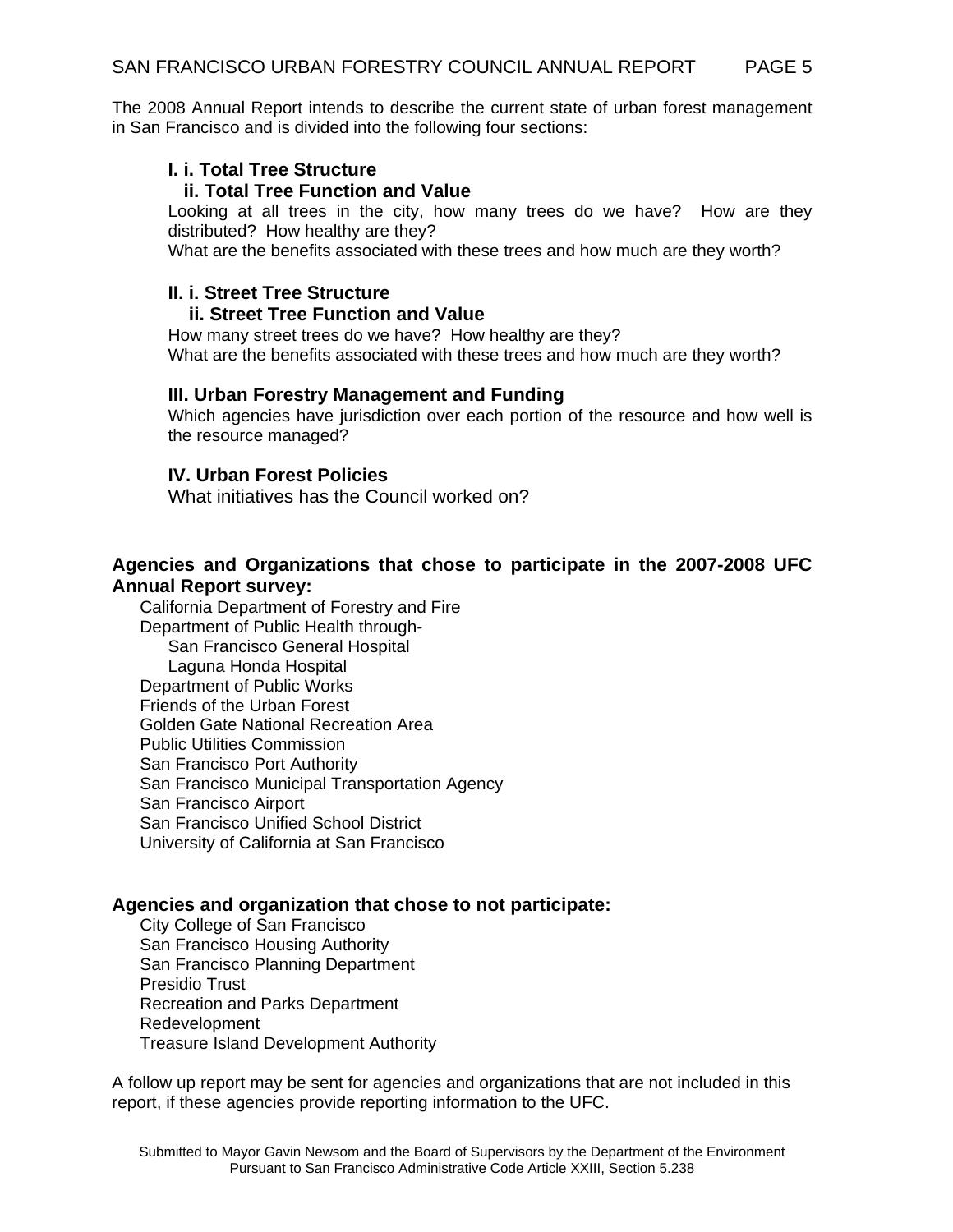The 2008 Annual Report intends to describe the current state of urban forest management in San Francisco and is divided into the following four sections:

#### **I. i. Total Tree Structure**

#### **ii. Total Tree Function and Value**

Looking at all trees in the city, how many trees do we have? How are they distributed? How healthy are they?

What are the benefits associated with these trees and how much are they worth?

#### **II. i. Street Tree Structure**

#### **ii. Street Tree Function and Value**

How many street trees do we have? How healthy are they? What are the benefits associated with these trees and how much are they worth?

#### **III. Urban Forestry Management and Funding**

Which agencies have jurisdiction over each portion of the resource and how well is the resource managed?

### **IV. Urban Forest Policies**

What initiatives has the Council worked on?

### **Agencies and Organizations that chose to participate in the 2007-2008 UFC Annual Report survey:**

California Department of Forestry and Fire Department of Public Health through- San Francisco General Hospital Laguna Honda Hospital Department of Public Works Friends of the Urban Forest Golden Gate National Recreation Area Public Utilities Commission San Francisco Port Authority San Francisco Municipal Transportation Agency San Francisco Airport San Francisco Unified School District University of California at San Francisco

#### **Agencies and organization that chose to not participate:**

City College of San Francisco San Francisco Housing Authority San Francisco Planning Department Presidio Trust Recreation and Parks Department Redevelopment Treasure Island Development Authority

A follow up report may be sent for agencies and organizations that are not included in this report, if these agencies provide reporting information to the UFC.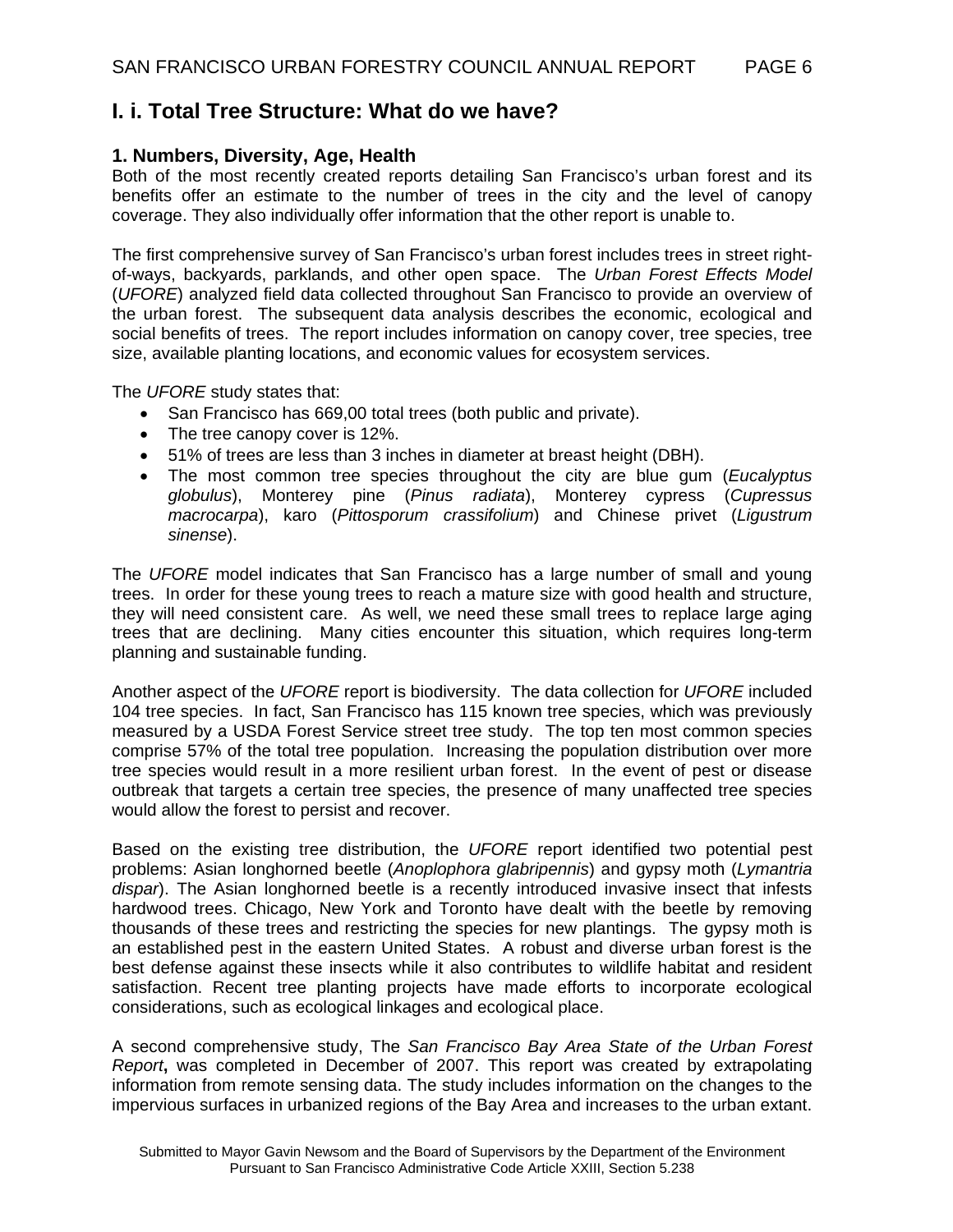## **I. i. Total Tree Structure: What do we have?**

#### **1. Numbers, Diversity, Age, Health**

Both of the most recently created reports detailing San Francisco's urban forest and its benefits offer an estimate to the number of trees in the city and the level of canopy coverage. They also individually offer information that the other report is unable to.

The first comprehensive survey of San Francisco's urban forest includes trees in street rightof-ways, backyards, parklands, and other open space. The *Urban Forest Effects Model*  (*UFORE*) analyzed field data collected throughout San Francisco to provide an overview of the urban forest. The subsequent data analysis describes the economic, ecological and social benefits of trees. The report includes information on canopy cover, tree species, tree size, available planting locations, and economic values for ecosystem services.

The *UFORE* study states that:

- San Francisco has 669,00 total trees (both public and private).
- The tree canopy cover is 12%.
- 51% of trees are less than 3 inches in diameter at breast height (DBH).
- The most common tree species throughout the city are blue gum (*Eucalyptus globulus*), Monterey pine (*Pinus radiata*), Monterey cypress (*Cupressus macrocarpa*), karo (*Pittosporum crassifolium*) and Chinese privet (*Ligustrum sinense*).

The *UFORE* model indicates that San Francisco has a large number of small and young trees. In order for these young trees to reach a mature size with good health and structure, they will need consistent care. As well, we need these small trees to replace large aging trees that are declining. Many cities encounter this situation, which requires long-term planning and sustainable funding.

Another aspect of the *UFORE* report is biodiversity. The data collection for *UFORE* included 104 tree species. In fact, San Francisco has 115 known tree species, which was previously measured by a USDA Forest Service street tree study. The top ten most common species comprise 57% of the total tree population. Increasing the population distribution over more tree species would result in a more resilient urban forest. In the event of pest or disease outbreak that targets a certain tree species, the presence of many unaffected tree species would allow the forest to persist and recover.

Based on the existing tree distribution, the *UFORE* report identified two potential pest problems: Asian longhorned beetle (*Anoplophora glabripennis*) and gypsy moth (*Lymantria dispar*). The Asian longhorned beetle is a recently introduced invasive insect that infests hardwood trees. Chicago, New York and Toronto have dealt with the beetle by removing thousands of these trees and restricting the species for new plantings. The gypsy moth is an established pest in the eastern United States. A robust and diverse urban forest is the best defense against these insects while it also contributes to wildlife habitat and resident satisfaction. Recent tree planting projects have made efforts to incorporate ecological considerations, such as ecological linkages and ecological place.

A second comprehensive study, The *San Francisco Bay Area State of the Urban Forest Report***,** was completed in December of 2007. This report was created by extrapolating information from remote sensing data. The study includes information on the changes to the impervious surfaces in urbanized regions of the Bay Area and increases to the urban extant.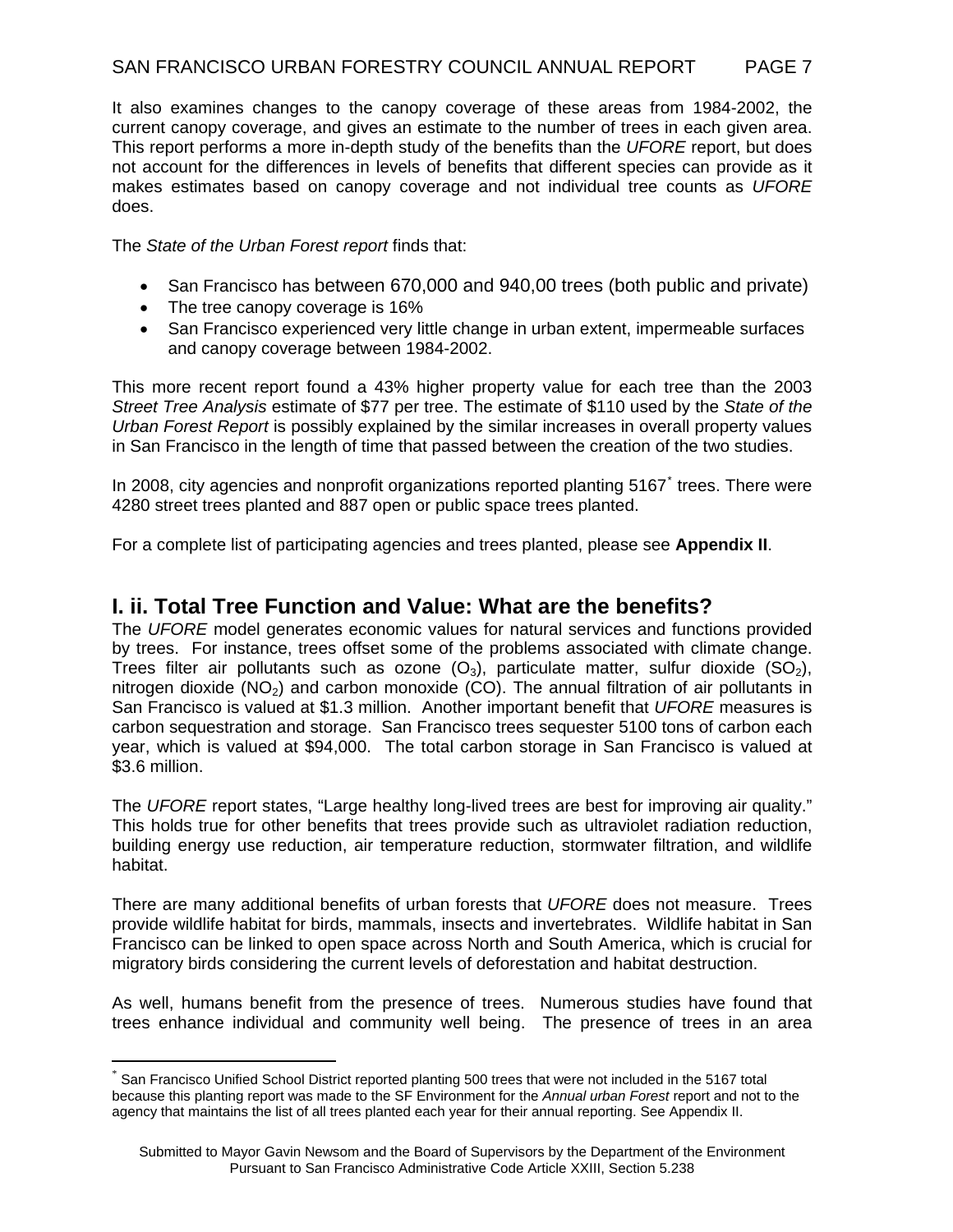It also examines changes to the canopy coverage of these areas from 1984-2002, the current canopy coverage, and gives an estimate to the number of trees in each given area. This report performs a more in-depth study of the benefits than the *UFORE* report, but does not account for the differences in levels of benefits that different species can provide as it makes estimates based on canopy coverage and not individual tree counts as *UFORE* does.

The *State of the Urban Forest report* finds that:

- San Francisco has between 670,000 and 940,00 trees (both public and private)
- The tree canopy coverage is 16%

 $\overline{a}$ 

• San Francisco experienced very little change in urban extent, impermeable surfaces and canopy coverage between 1984-2002.

This more recent report found a 43% higher property value for each tree than the 2003 *Street Tree Analysis* estimate of \$77 per tree. The estimate of \$110 used by the *State of the Urban Forest Report* is possibly explained by the similar increases in overall property values in San Francisco in the length of time that passed between the creation of the two studies.

In 2008, city agencies and nonprofit organizations reported planting 5167<sup>[\\*](#page-6-0)</sup> trees. There were 4280 street trees planted and 887 open or public space trees planted.

For a complete list of participating agencies and trees planted, please see **Appendix II**.

### **I. ii. Total Tree Function and Value: What are the benefits?**

The *UFORE* model generates economic values for natural services and functions provided by trees. For instance, trees offset some of the problems associated with climate change. Trees filter air pollutants such as ozone  $(O_3)$ , particulate matter, sulfur dioxide  $(SO_2)$ , nitrogen dioxide  $(NO<sub>2</sub>)$  and carbon monoxide  $(CO)$ . The annual filtration of air pollutants in San Francisco is valued at \$1.3 million. Another important benefit that *UFORE* measures is carbon sequestration and storage. San Francisco trees sequester 5100 tons of carbon each year, which is valued at \$94,000. The total carbon storage in San Francisco is valued at \$3.6 million.

The *UFORE* report states, "Large healthy long-lived trees are best for improving air quality." This holds true for other benefits that trees provide such as ultraviolet radiation reduction, building energy use reduction, air temperature reduction, stormwater filtration, and wildlife habitat.

There are many additional benefits of urban forests that *UFORE* does not measure. Trees provide wildlife habitat for birds, mammals, insects and invertebrates. Wildlife habitat in San Francisco can be linked to open space across North and South America, which is crucial for migratory birds considering the current levels of deforestation and habitat destruction.

As well, humans benefit from the presence of trees. Numerous studies have found that trees enhance individual and community well being. The presence of trees in an area

<span id="page-6-0"></span>San Francisco Unified School District reported planting 500 trees that were not included in the 5167 total because this planting report was made to the SF Environment for the *Annual urban Forest* report and not to the agency that maintains the list of all trees planted each year for their annual reporting. See Appendix II.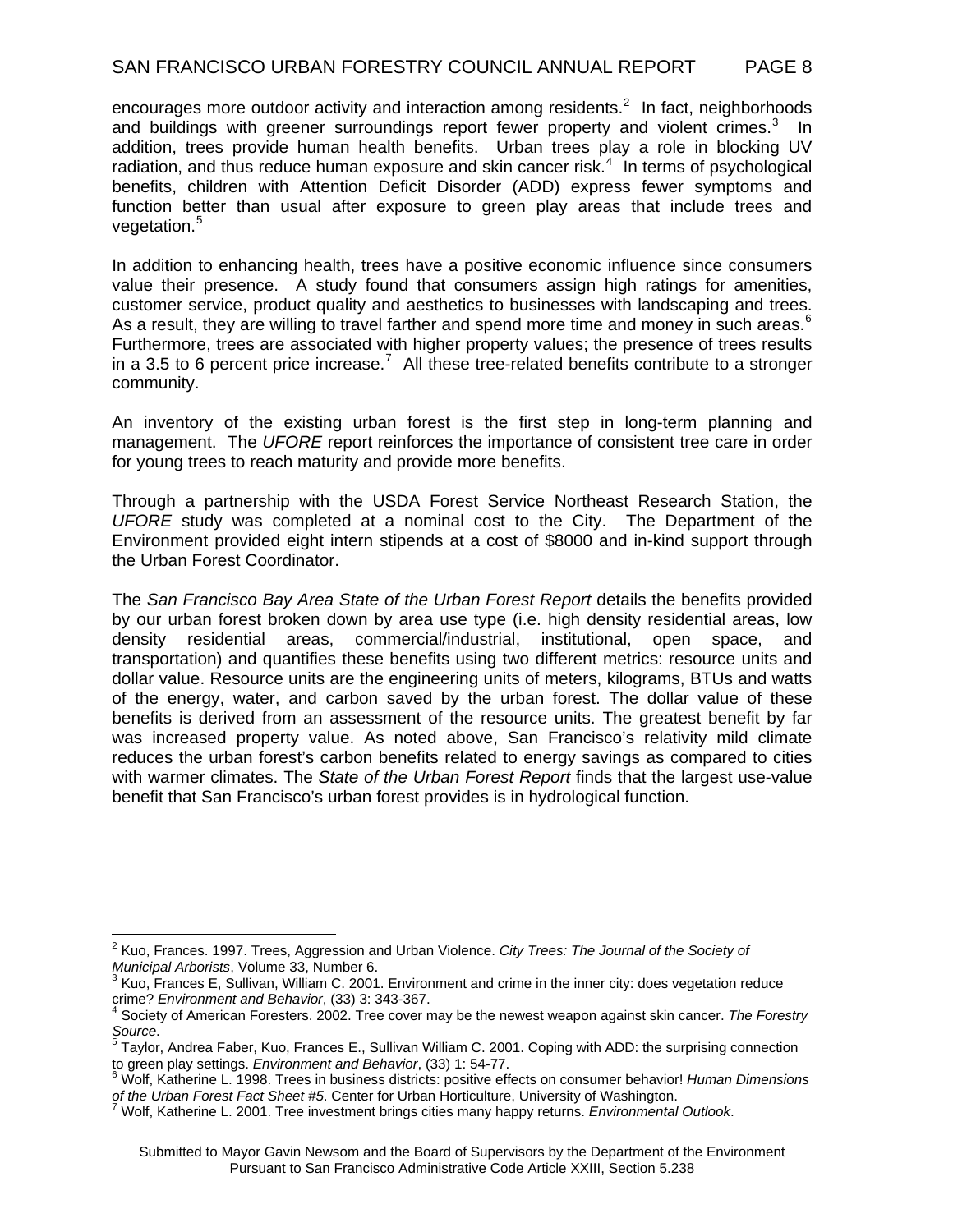encourages more outdoor activity and interaction among residents.<sup>[2](#page-7-0)</sup> In fact, neighborhoods and buildings with greener surroundings report fewer property and violent crimes. $3$  In addition, trees provide human health benefits. Urban trees play a role in blocking UV radiation, and thus reduce human exposure and skin cancer risk.<sup>[4](#page-7-2)</sup> In terms of psychological benefits, children with Attention Deficit Disorder (ADD) express fewer symptoms and function better than usual after exposure to green play areas that include trees and vegetation.<sup>[5](#page-7-3)</sup>

In addition to enhancing health, trees have a positive economic influence since consumers value their presence. A study found that consumers assign high ratings for amenities, customer service, product quality and aesthetics to businesses with landscaping and trees. As a result, they are willing to travel farther and spend more time and money in such areas.<sup>[6](#page-7-4)</sup> Furthermore, trees are associated with higher property values; the presence of trees results in a 3.5 to 6 percent price increase.<sup>[7](#page-7-5)</sup> All these tree-related benefits contribute to a stronger community.

An inventory of the existing urban forest is the first step in long-term planning and management. The *UFORE* report reinforces the importance of consistent tree care in order for young trees to reach maturity and provide more benefits.

Through a partnership with the USDA Forest Service Northeast Research Station, the *UFORE* study was completed at a nominal cost to the City. The Department of the Environment provided eight intern stipends at a cost of \$8000 and in-kind support through the Urban Forest Coordinator.

The *San Francisco Bay Area State of the Urban Forest Report* details the benefits provided by our urban forest broken down by area use type (i.e. high density residential areas, low density residential areas, commercial/industrial, institutional, open space, and transportation) and quantifies these benefits using two different metrics: resource units and dollar value. Resource units are the engineering units of meters, kilograms, BTUs and watts of the energy, water, and carbon saved by the urban forest. The dollar value of these benefits is derived from an assessment of the resource units. The greatest benefit by far was increased property value. As noted above, San Francisco's relativity mild climate reduces the urban forest's carbon benefits related to energy savings as compared to cities with warmer climates. The *State of the Urban Forest Report* finds that the largest use-value benefit that San Francisco's urban forest provides is in hydrological function.

<span id="page-7-0"></span> 2 Kuo, Frances. 1997. Trees, Aggression and Urban Violence. *City Trees: The Journal of the Society of* 

<span id="page-7-1"></span>*Municipal Arborists*, Volume 33, Number 6.<br><sup>3</sup> Kuo, Frances E, Sullivan, William C. 2001. Environment and crime in the inner city: does vegetation reduce

<span id="page-7-2"></span>crime? *Environment and Behavior*, (33) 3: 343-367. 4 Society of American Foresters. 2002. Tree cover may be the newest weapon against skin cancer. *The Forestry* 

<span id="page-7-3"></span>*Source.*<br><sup>5</sup> Taylor, Andrea Faber, Kuo, Frances E., Sullivan William C. 2001. Coping with ADD: the surprising connection to green play settings. *Environment and Behavior*, (33) 1: 54-77.

<span id="page-7-4"></span>Wolf, Katherine L. 1998. Trees in business districts: positive effects on consumer behavior! *Human Dimensions of the Urban Forest Fact Sheet #5*. Center for Urban Horticulture, University of Washington. 7

<span id="page-7-5"></span>Wolf, Katherine L. 2001. Tree investment brings cities many happy returns. *Environmental Outlook*.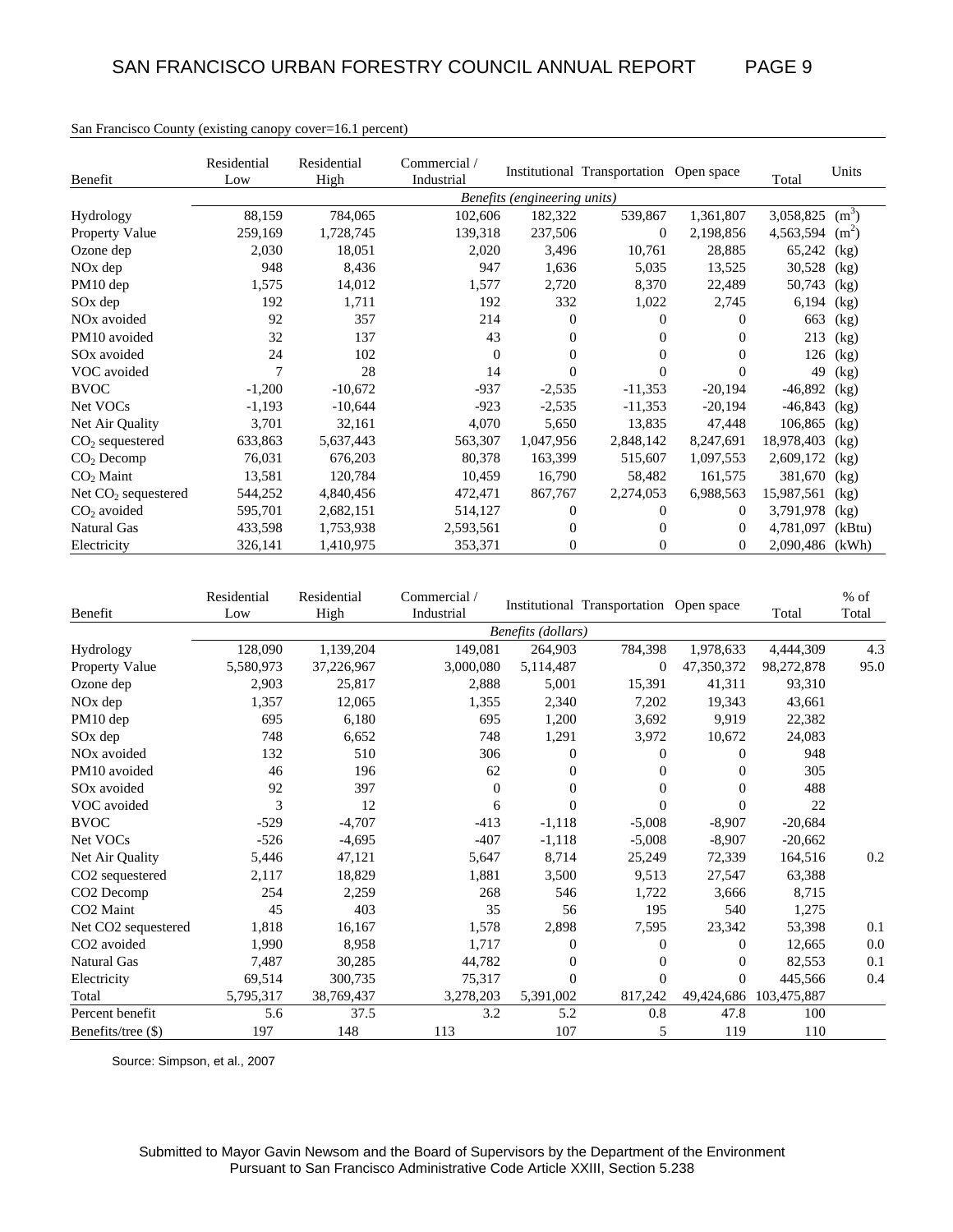|                         | Residential | Residential | Commercial / |                              | Institutional Transportation Open space |           |                 | Units   |
|-------------------------|-------------|-------------|--------------|------------------------------|-----------------------------------------|-----------|-----------------|---------|
| Benefit                 | Low         | High        | Industrial   |                              |                                         |           | Total           |         |
|                         |             |             |              | Benefits (engineering units) |                                         |           |                 |         |
| Hydrology               | 88,159      | 784,065     | 102,606      | 182,322                      | 539,867                                 | 1,361,807 | 3,058,825       | $(m^3)$ |
| <b>Property Value</b>   | 259,169     | 1,728,745   | 139,318      | 237,506                      | $\mathbf{0}$                            | 2,198,856 | 4,563,594       | $(m^2)$ |
| Ozone dep               | 2,030       | 18,051      | 2,020        | 3,496                        | 10,761                                  | 28,885    | 65,242          | (kg)    |
| $NOx$ dep               | 948         | 8,436       | 947          | 1,636                        | 5,035                                   | 13,525    | 30,528          | (kg)    |
| PM10 dep                | 1,575       | 14,012      | 1,577        | 2,720                        | 8,370                                   | 22,489    | 50,743          | (kg)    |
| SO <sub>x</sub> dep     | 192         | 1,711       | 192          | 332                          | 1,022                                   | 2,745     | 6,194           | (kg)    |
| NO <sub>x</sub> avoided | 92          | 357         | 214          | $\mathbf{0}$                 | 0                                       | $^{(1)}$  | 663             | (kg)    |
| PM10 avoided            | 32          | 137         | 43           | 0                            | 0                                       | 0         | 213             | (kg)    |
| SO <sub>x</sub> avoided | 24          | 102         | $\Omega$     | $\mathbf{0}$                 | 0                                       | 0         | 126             | (kg)    |
| VOC avoided             | 7           | 28          | 14           | $\Omega$                     | $\Omega$                                | 0         | 49              | (kg)    |
| <b>BVOC</b>             | $-1,200$    | $-10,672$   | $-937$       | $-2,535$                     | $-11,353$                               | $-20,194$ | $-46,892$       | (kg)    |
| Net VOCs                | $-1,193$    | $-10,644$   | $-923$       | $-2,535$                     | $-11,353$                               | $-20,194$ | $-46,843$       | (kg)    |
| Net Air Quality         | 3,701       | 32,161      | 4,070        | 5,650                        | 13,835                                  | 47,448    | 106,865         | (kg)    |
| $CO2$ sequestered       | 633,863     | 5,637,443   | 563,307      | 1,047,956                    | 2,848,142                               | 8,247,691 | 18,978,403      | (kg)    |
| $CO2$ Decomp            | 76,031      | 676,203     | 80,378       | 163,399                      | 515,607                                 | 1,097,553 | 2,609,172       | (kg)    |
| $CO2$ Maint             | 13,581      | 120,784     | 10,459       | 16,790                       | 58,482                                  | 161,575   | 381,670         | (kg)    |
| Net $CO2$ sequestered   | 544,252     | 4,840,456   | 472,471      | 867,767                      | 2,274,053                               | 6,988,563 | 15,987,561      | (kg)    |
| $CO2$ avoided           | 595,701     | 2,682,151   | 514,127      | 0                            | 0                                       | $\bf{0}$  | 3,791,978       | (kg)    |
| Natural Gas             | 433,598     | 1,753,938   | 2,593,561    | 0                            | 0                                       | $\Omega$  | 4,781,097       | (kBtu)  |
| Electricity             | 326,141     | 1,410,975   | 353,371      | $\overline{0}$               | 0                                       | $\theta$  | 2,090,486 (kWh) |         |

#### San Francisco County (existing canopy cover=16.1 percent)

| Benefit                     | Residential<br>Low | Residential<br>High | Commercial /<br>Industrial |                    | Institutional Transportation Open space |                | Total       | $%$ of<br>Total |
|-----------------------------|--------------------|---------------------|----------------------------|--------------------|-----------------------------------------|----------------|-------------|-----------------|
|                             |                    |                     |                            | Benefits (dollars) |                                         |                |             |                 |
| Hydrology                   | 128,090            | 1,139,204           | 149,081                    | 264,903            | 784,398                                 | 1,978,633      | 4,444,309   | 4.3             |
| Property Value              | 5,580,973          | 37,226,967          | 3,000,080                  | 5,114,487          | $\overline{0}$                          | 47,350,372     | 98,272,878  | 95.0            |
| Ozone dep                   | 2,903              | 25,817              | 2,888                      | 5,001              | 15,391                                  | 41,311         | 93,310      |                 |
| $NOx$ dep                   | 1,357              | 12,065              | 1,355                      | 2,340              | 7,202                                   | 19,343         | 43,661      |                 |
| PM10 dep                    | 695                | 6,180               | 695                        | 1,200              | 3,692                                   | 9,919          | 22,382      |                 |
| SO <sub>x</sub> dep         | 748                | 6,652               | 748                        | 1,291              | 3,972                                   | 10,672         | 24,083      |                 |
| NO <sub>x</sub> avoided     | 132                | 510                 | 306                        | $\overline{0}$     | $\mathbf{0}$                            | $\overline{0}$ | 948         |                 |
| PM10 avoided                | 46                 | 196                 | 62                         | $\Omega$           | $\theta$                                | $\Omega$       | 305         |                 |
| SO <sub>x</sub> avoided     | 92                 | 397                 | $\Omega$                   | $\theta$           | $\theta$                                | $\Omega$       | 488         |                 |
| VOC avoided                 | 3                  | 12                  | 6                          | $\theta$           | $\Omega$                                | $\Omega$       | 22          |                 |
| <b>BVOC</b>                 | $-529$             | $-4,707$            | $-413$                     | $-1,118$           | $-5,008$                                | $-8,907$       | $-20,684$   |                 |
| Net VOCs                    | $-526$             | $-4,695$            | $-407$                     | $-1,118$           | $-5,008$                                | $-8,907$       | $-20,662$   |                 |
| Net Air Quality             | 5,446              | 47,121              | 5,647                      | 8,714              | 25,249                                  | 72,339         | 164,516     | 0.2             |
| CO <sub>2</sub> sequestered | 2,117              | 18,829              | 1,881                      | 3,500              | 9,513                                   | 27,547         | 63,388      |                 |
| CO <sub>2</sub> Decomp      | 254                | 2,259               | 268                        | 546                | 1,722                                   | 3,666          | 8,715       |                 |
| CO <sub>2</sub> Maint       | 45                 | 403                 | 35                         | 56                 | 195                                     | 540            | 1,275       |                 |
| Net CO2 sequestered         | 1,818              | 16,167              | 1,578                      | 2,898              | 7,595                                   | 23,342         | 53,398      | 0.1             |
| CO <sub>2</sub> avoided     | 1,990              | 8,958               | 1,717                      | $\overline{0}$     | $\mathbf{0}$                            | $\Omega$       | 12,665      | 0.0             |
| Natural Gas                 | 7,487              | 30,285              | 44,782                     | $\Omega$           | $\mathbf{0}$                            | 0              | 82,553      | 0.1             |
| Electricity                 | 69,514             | 300,735             | 75,317                     | $\Omega$           | $\Omega$                                | $\Omega$       | 445,566     | 0.4             |
| Total                       | 5,795,317          | 38,769,437          | 3,278,203                  | 5,391,002          | 817,242                                 | 49,424,686     | 103,475,887 |                 |
| Percent benefit             | 5.6                | 37.5                | 3.2                        | 5.2                | 0.8                                     | 47.8           | 100         |                 |
| Benefits/tree (\$)          | 197                | 148                 | 113                        | 107                | 5                                       | 119            | 110         |                 |

Source: Simpson, et al., 2007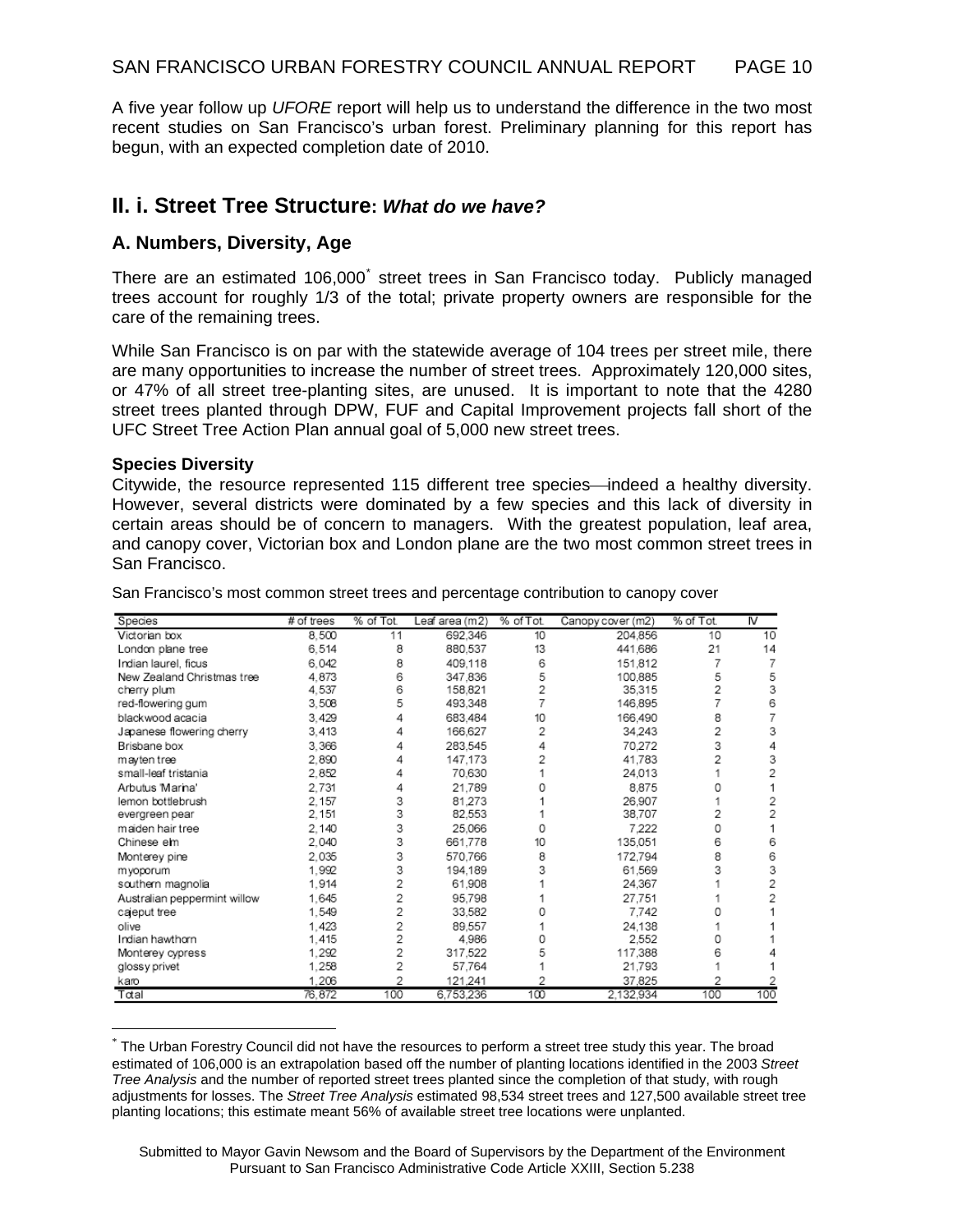A five year follow up *UFORE* report will help us to understand the difference in the two most recent studies on San Francisco's urban forest. Preliminary planning for this report has begun, with an expected completion date of 2010.

### **II. i. Street Tree Structure:** *What do we have?*

### **A. Numbers, Diversity, Age**

There are an estimated 106,000<sup>[\\*](#page-9-0)</sup> street trees in San Francisco today. Publicly managed trees account for roughly 1/3 of the total; private property owners are responsible for the care of the remaining trees.

While San Francisco is on par with the statewide average of 104 trees per street mile, there are many opportunities to increase the number of street trees. Approximately 120,000 sites, or 47% of all street tree-planting sites, are unused. It is important to note that the 4280 street trees planted through DPW, FUF and Capital Improvement projects fall short of the UFC Street Tree Action Plan annual goal of 5,000 new street trees.

#### **Species Diversity**

 $\overline{a}$ 

Citywide, the resource represented 115 different tree species—indeed a healthy diversity. However, several districts were dominated by a few species and this lack of diversity in certain areas should be of concern to managers. With the greatest population, leaf area, and canopy cover, Victorian box and London plane are the two most common street trees in San Francisco.

| Species                      | # of trees | % of Tot. | Leaf area (m2) | % of Tot. | Canopy cover (m2) | % of Tot. | $\overline{N}$ |
|------------------------------|------------|-----------|----------------|-----------|-------------------|-----------|----------------|
| Victorian box                | 8.500      | 11        | 692.346        | 10        | 204,856           | 10        | 10             |
| London plane tree            | 6,514      | 8         | 880,537        | 13        | 441,686           | 21        | 14             |
| Indian laurel, ficus         | 6.042      | 8         | 409.118        | 6         | 151,812           | 7         |                |
| New Zealand Christmas tree   | 4.873      | 6         | 347.836        | 5         | 100.885           | 5         |                |
| cherry plum                  | 4,537      | 6         | 158,821        |           | 35.315            | 2         |                |
| red-flowering gum            | 3.508      | 5         | 493,348        |           | 146,895           |           |                |
| blackwood acacia             | 3.429      |           | 683,484        | 10        | 166,490           | 8         |                |
| Japanese flowering cherry    | 3.413      | 4         | 166,627        | 2         | 34,243            | 2         |                |
| Brisbane box                 | 3.366      | 4         | 283,545        |           | 70.272            | 3         |                |
| mayten tree                  | 2.890      |           | 147.173        |           | 41,783            | 2         |                |
| small-leaf tristania         | 2,852      | 4         | 70.630         |           | 24,013            |           |                |
| Arbutus Marina'              | 2.731      | 4         | 21.789         |           | 8.875             |           |                |
| lemon bottlebrush            | 2.157      | 3         | 81.273         |           | 26.907            |           |                |
| evergreen pear               | 2.151      | 3         | 82.553         |           | 38,707            | 2         |                |
| maiden hair tree             | 2.140      | 3         | 25,066         |           | 7.222             | 0         |                |
| Chinese em                   | 2,040      | 3         | 661.778        | 10        | 135,051           | 6         |                |
| Monterey pine                | 2.035      | 3         | 570.766        | 8         | 172.794           | 8         |                |
| m yoporum                    | 1,992      | 3         | 194.189        |           | 61.569            | 3         |                |
| southern magnolia            | 1.914      | 2         | 61,908         |           | 24,367            |           |                |
| Australian peppermint willow | 1.645      | 2         | 95.798         |           | 27,751            |           |                |
| cajeput tree                 | 1.549      | 2         | 33,582         |           | 7.742             |           |                |
| olive                        | 1.423      | 2         | 89.557         |           | 24.138            |           |                |
| Indian hawthorn              | 1,415      | 2         | 4.986          |           | 2.552             |           |                |
| Monterey cypress             | 1.292      | 2         | 317,522        |           | 117.388           | 6         |                |
| glossy privet                | 1,258      | 2         | 57,764         |           | 21,793            |           |                |
| karo                         | 1,206      | 2         | 121,241        | 2         | 37,825            | 2         |                |
| Total                        | 76,872     | 100       | 6,753,236      | 100       | 2,132,934         | 100       | 100            |

San Francisco's most common street trees and percentage contribution to canopy cover

<span id="page-9-0"></span><sup>\*</sup> The Urban Forestry Council did not have the resources to perform a street tree study this year. The broad estimated of 106,000 is an extrapolation based off the number of planting locations identified in the 2003 *Street Tree Analysis* and the number of reported street trees planted since the completion of that study, with rough adjustments for losses. The *Street Tree Analysis* estimated 98,534 street trees and 127,500 available street tree planting locations; this estimate meant 56% of available street tree locations were unplanted.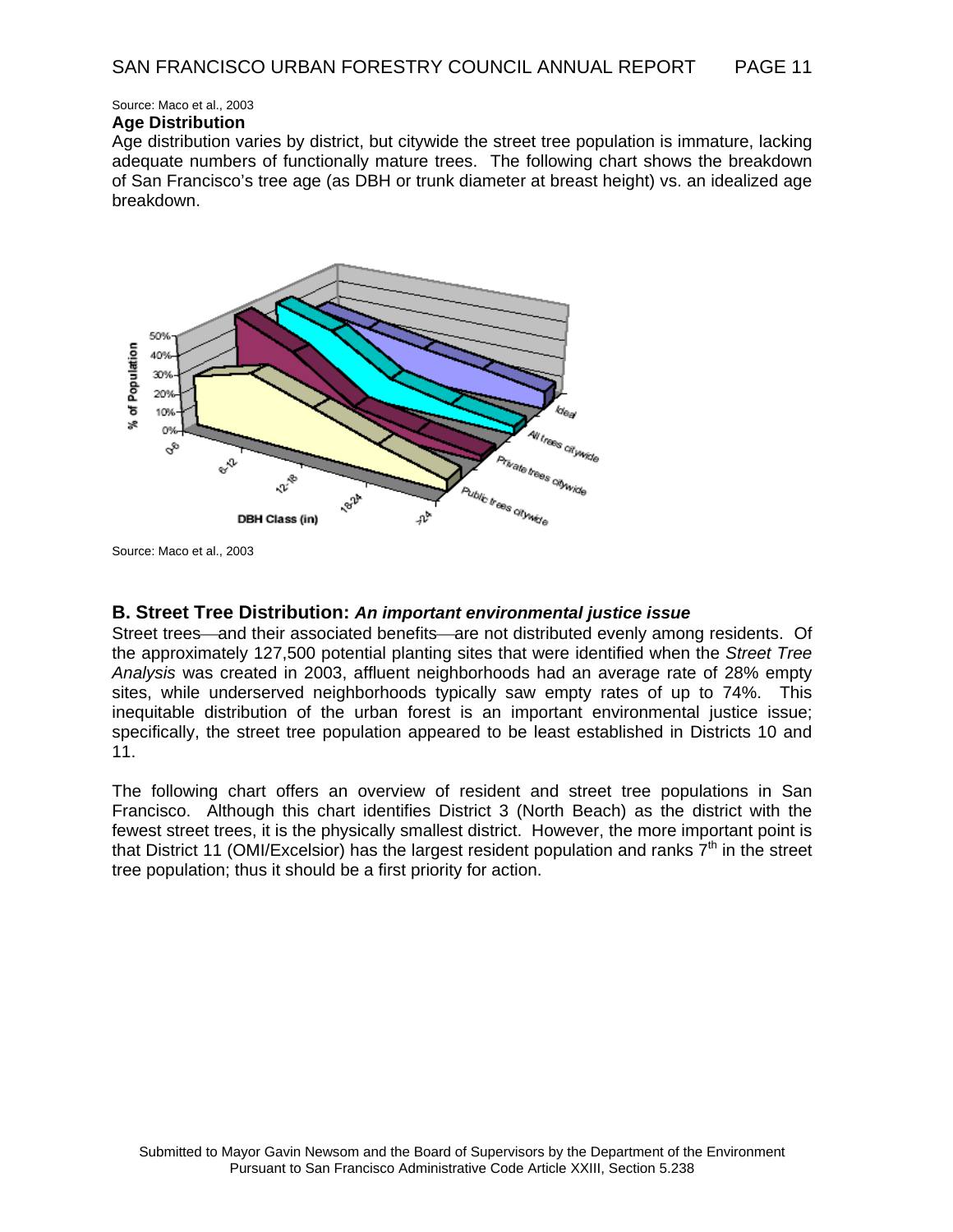Source: Maco et al., 2003

#### **Age Distribution**

Age distribution varies by district, but citywide the street tree population is immature, lacking adequate numbers of functionally mature trees. The following chart shows the breakdown of San Francisco's tree age (as DBH or trunk diameter at breast height) vs. an idealized age breakdown.



Source: Maco et al., 2003

#### **B. Street Tree Distribution:** *An important environmental justice issue*

Street trees—and their associated benefits—are not distributed evenly among residents. Of the approximately 127,500 potential planting sites that were identified when the *Street Tree Analysis* was created in 2003, affluent neighborhoods had an average rate of 28% empty sites, while underserved neighborhoods typically saw empty rates of up to 74%. This inequitable distribution of the urban forest is an important environmental justice issue; specifically, the street tree population appeared to be least established in Districts 10 and 11.

The following chart offers an overview of resident and street tree populations in San Francisco. Although this chart identifies District 3 (North Beach) as the district with the fewest street trees, it is the physically smallest district. However, the more important point is that District 11 (OMI/Excelsior) has the largest resident population and ranks  $7<sup>th</sup>$  in the street tree population; thus it should be a first priority for action.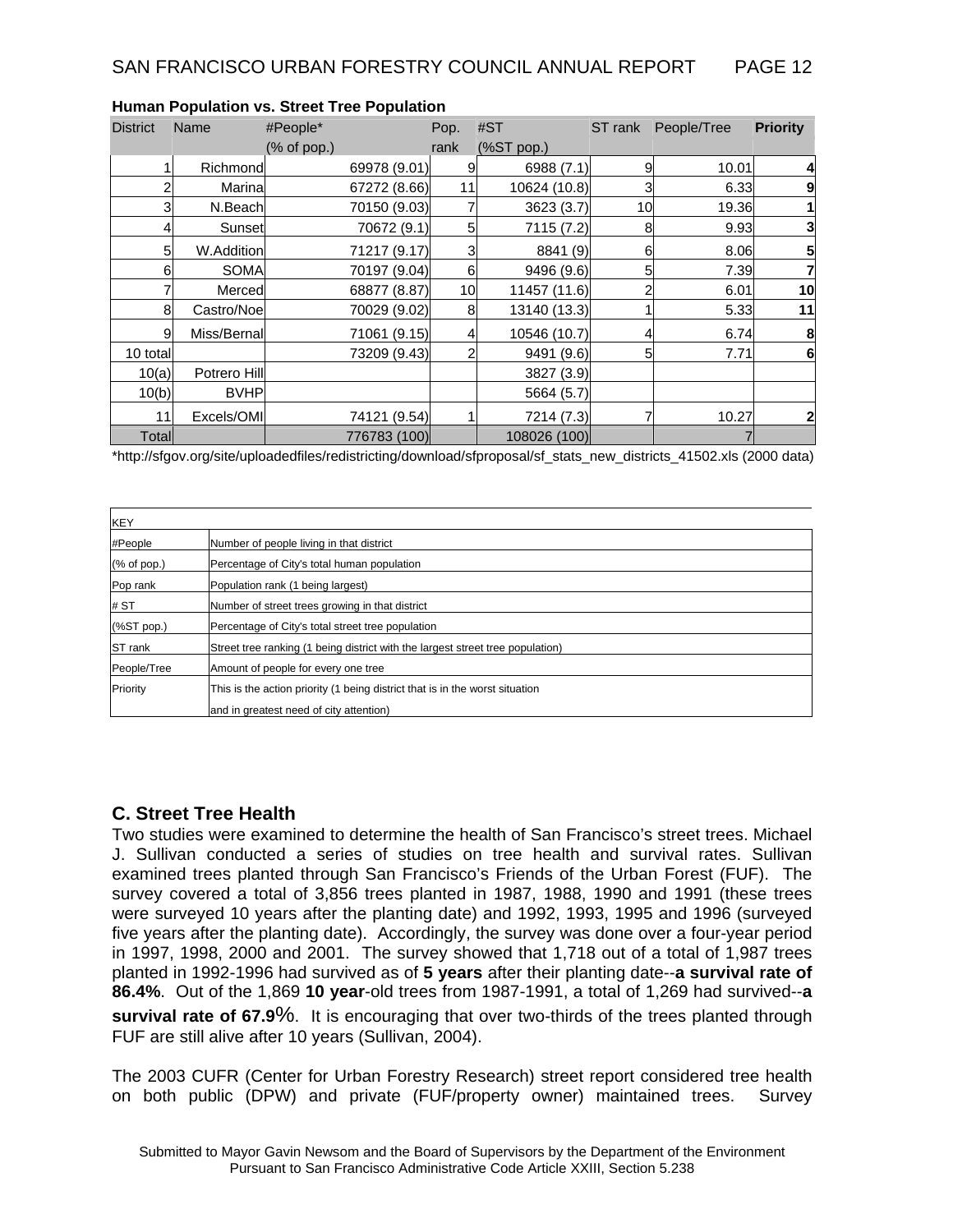| <b>District</b> | Name             | #People*     | Pop. | #ST          | ST rank | People/Tree | <b>Priority</b> |
|-----------------|------------------|--------------|------|--------------|---------|-------------|-----------------|
|                 |                  | (% of pop.)  | rank | (%ST pop.)   |         |             |                 |
|                 | Richmond         | 69978 (9.01) | 9    | 6988 (7.1)   | 9       | 10.01       | 4               |
| ⌒               | Marina           | 67272 (8.66) | 11   | 10624 (10.8) | 3       | 6.33        | 9               |
|                 | N.Beach<br>3     | 70150 (9.03) |      | 3623(3.7)    | 10      | 19.36       | 1               |
|                 | Sunset<br>4      | 70672 (9.1)  | 5    | 7115 (7.2)   | 8       | 9.93        | 3               |
|                 | W.Addition<br>5  | 71217 (9.17) | 3    | 8841 (9)     | 6       | 8.06        | 5               |
|                 | SOMA<br>6        | 70197 (9.04) | 6    | 9496 (9.6)   | 5       | 7.39        | $\overline{7}$  |
|                 | Merced           | 68877 (8.87) | 10   | 11457 (11.6) |         | 6.01        | 10              |
|                 | 8<br>Castro/Noe  | 70029 (9.02) | 8    | 13140 (13.3) |         | 5.33        | 11              |
|                 | Miss/Bernal<br>9 | 71061 (9.15) |      | 10546 (10.7) |         | 6.74        | 8               |
| 10 total        |                  | 73209 (9.43) | 2    | 9491 (9.6)   | 5       | 7.71        | $6\phantom{1}6$ |
| 10(a)           | Potrero Hill     |              |      | 3827 (3.9)   |         |             |                 |
| 10(b)           | <b>BVHP</b>      |              |      | 5664 (5.7)   |         |             |                 |
| 11              | Excels/OMI       | 74121 (9.54) |      | 7214 (7.3)   |         | 10.27       | 2               |
| Total           |                  | 776783 (100) |      | 108026 (100) |         |             |                 |

#### **Human Population vs. Street Tree Population**

\*http://sfgov.org/site/uploadedfiles/redistricting/download/sfproposal/sf\_stats\_new\_districts\_41502.xls (2000 data)

| <b>KEY</b>                        |                                                                                |
|-----------------------------------|--------------------------------------------------------------------------------|
| #People                           | Number of people living in that district                                       |
| $(% \mathcal{L}_{0})$ (% of pop.) | Percentage of City's total human population                                    |
| Pop rank                          | Population rank (1 being largest)                                              |
| # ST                              | Number of street trees growing in that district                                |
| (%ST pop.)                        | Percentage of City's total street tree population                              |
| <b>ST</b> rank                    | Street tree ranking (1 being district with the largest street tree population) |
| People/Tree                       | Amount of people for every one tree                                            |
| Priority                          | This is the action priority (1 being district that is in the worst situation   |
|                                   | and in greatest need of city attention)                                        |

#### **C. Street Tree Health**

Two studies were examined to determine the health of San Francisco's street trees. Michael J. Sullivan conducted a series of studies on tree health and survival rates. Sullivan examined trees planted through San Francisco's Friends of the Urban Forest (FUF). The survey covered a total of 3,856 trees planted in 1987, 1988, 1990 and 1991 (these trees were surveyed 10 years after the planting date) and 1992, 1993, 1995 and 1996 (surveyed five years after the planting date). Accordingly, the survey was done over a four-year period in 1997, 1998, 2000 and 2001. The survey showed that 1,718 out of a total of 1,987 trees planted in 1992-1996 had survived as of **5 years** after their planting date--**a survival rate of 86.4%**. Out of the 1,869 **10 year**-old trees from 1987-1991, a total of 1,269 had survived--**a survival rate of 67.9**%. It is encouraging that over two-thirds of the trees planted through FUF are still alive after 10 years (Sullivan, 2004).

The 2003 CUFR (Center for Urban Forestry Research) street report considered tree health on both public (DPW) and private (FUF/property owner) maintained trees. Survey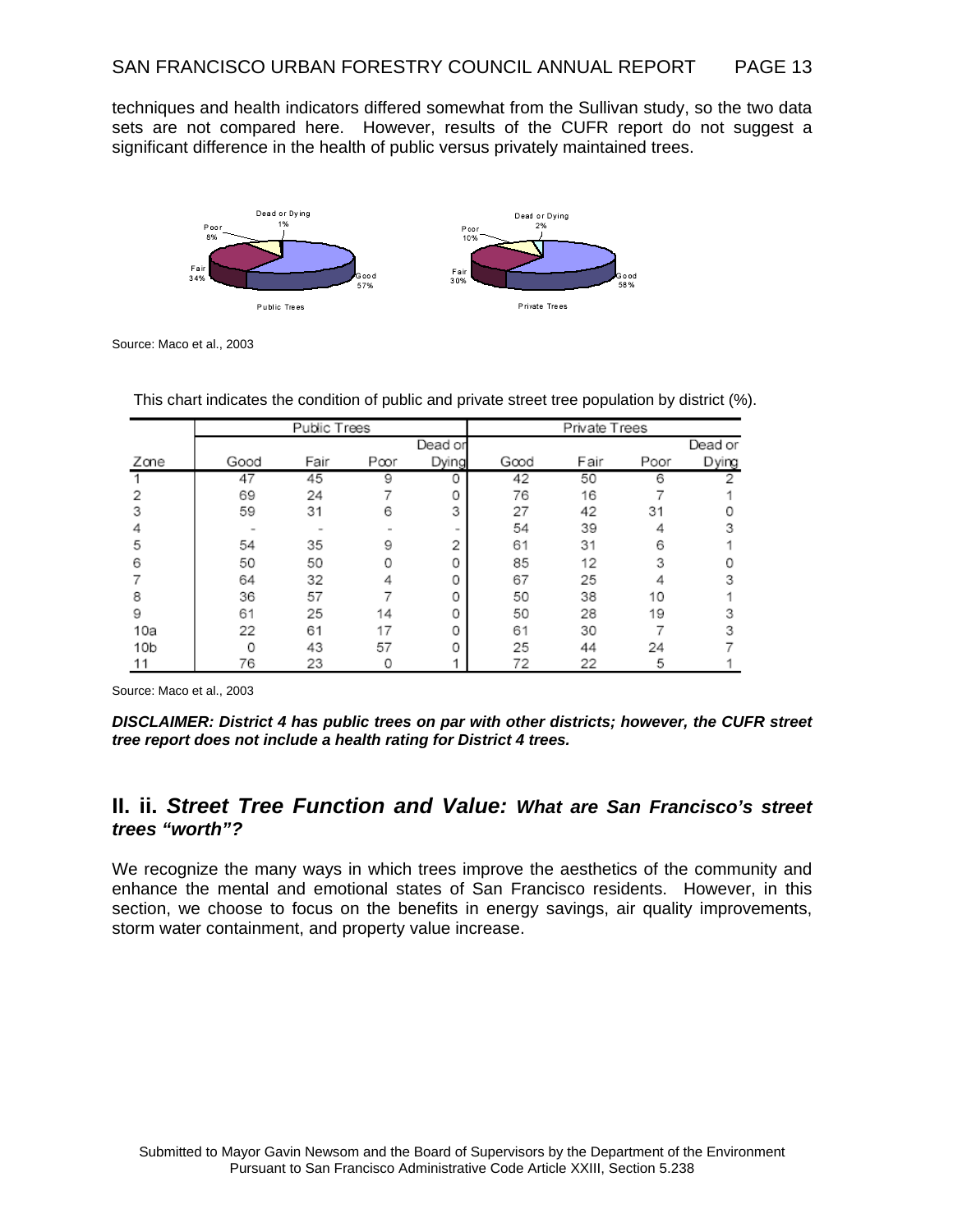techniques and health indicators differed somewhat from the Sullivan study, so the two data sets are not compared here. However, results of the CUFR report do not suggest a significant difference in the health of public versus privately maintained trees.



Source: Maco et al., 2003

|                 | Public Trees |      |     | Private Trees |      |      |      |         |
|-----------------|--------------|------|-----|---------------|------|------|------|---------|
|                 |              |      |     | Dead or       |      |      |      | Dead or |
| Zane            | Good         | Fair | Pœr | Dying         | Good | Fair | Poor | Dying   |
|                 | 47           | 45   | 9   | 0             | 42   | 50   | 6    |         |
|                 | 69           | 24   |     | 0             | 76   | 16   |      |         |
| 3               | 59           | 31   | 6   | 3             | 27   | 42   | 31   |         |
|                 |              |      |     | $\sim$        | 54   | 39   |      |         |
| 5               | 54           | 35   | 9   | 2             | 61   | 31   | 6    |         |
| 6               | 50           | 50   |     | 0             | 85   | 12   | 3    |         |
|                 | 64           | 32   |     | 0             | 67   | 25   |      |         |
| 8               | 36           | 57   |     | 0             | 50   | 38   | 10   |         |
| 9               | 61           | 25   | 14  | 0             | 50   | 28   | 19   |         |
| 10a             | 22           | 61   | 17  | 0             | 61   | 30   |      |         |
| 10 <sub>b</sub> | U            | 43   | 57  | 0             | 25   | 44   | 24   |         |
| 11              | 76           | 23   |     |               | 72   | 22   | 5    |         |

This chart indicates the condition of public and private street tree population by district (%).

Source: Maco et al., 2003

*DISCLAIMER: District 4 has public trees on par with other districts; however, the CUFR street tree report does not include a health rating for District 4 trees.* 

### **II. ii.** *Street Tree Function and Value: What are San Francisco's street trees "worth"?*

We recognize the many ways in which trees improve the aesthetics of the community and enhance the mental and emotional states of San Francisco residents. However, in this section, we choose to focus on the benefits in energy savings, air quality improvements, storm water containment, and property value increase.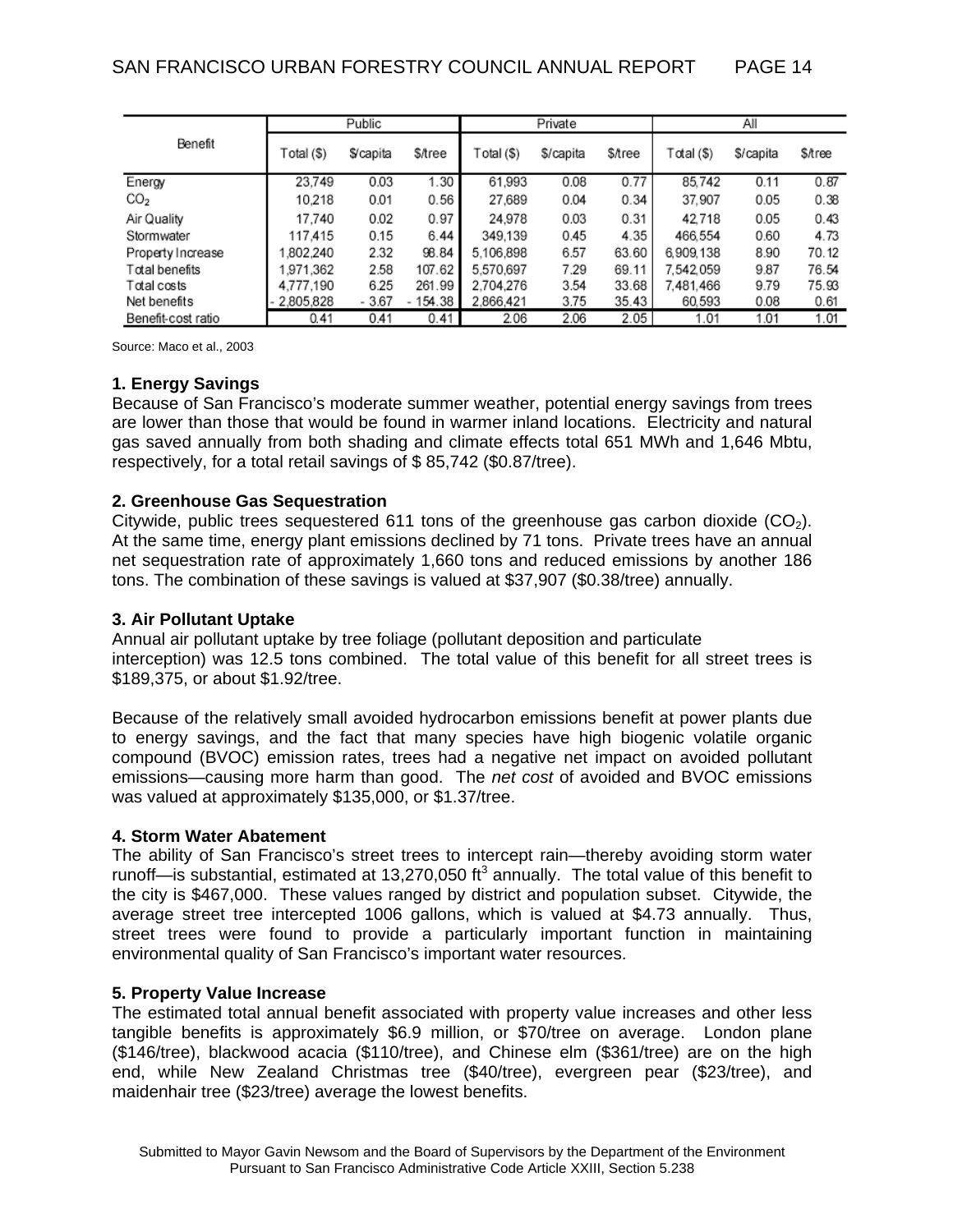|                    | Public     |                  |         | Private    |           |                | All        |           |         |
|--------------------|------------|------------------|---------|------------|-----------|----------------|------------|-----------|---------|
| Benefit            | Total (\$) | <i>S</i> /capita | \$/tree | Total (\$) | \$/capita | <b>S</b> /tree | Total (\$) | \$/capita | \$⁄tree |
| Energy             | 23.749     | 0.03             | 1.30    | 61.993     | 0.08      | 0.77           | 85.742     | 0.11      | 0.87    |
| CO <sub>2</sub>    | 10.218     | 0.01             | 0.56    | 27,689     | 0.04      | 0.34           | 37.907     | 0.05      | 0.38    |
| Air Quality        | 17.740     | 0.02             | 0.97    | 24.978     | 0.03      | 0.31           | 42718      | 0.05      | 0.43    |
| Stormwater         | 117.415    | 0.15             | 6.44    | 349.139    | 0.45      | 4.35           | 466.554    | 0.60      | 4.73    |
| Property Increase  | ,802.240   | 2.32             | 98.84   | 5.106.898  | 6.57      | 63.60          | 6,909,138  | 8.90      | 70.12   |
| Total benefits     | .971.362   | 2.58             | 107.62  | 5.570.697  | 7.29      | 69.11          | 7.542.059  | 9.87      | 76.54   |
| Total costs        | 4,777,190  | 6.25             | 261.99  | 2.704.276  | 3.54      | 33.68          | 7.481.466  | 9.79      | 75.93   |
| Net benefits       | 2,805,828  | - 3.67           | 154.38  | 2,866,421  | 3.75      | 35.43          | 60,593     | 0.08      | 0.61    |
| Benefit-cost ratio | 0.41       | 0.41             | 0.41    | 2.06       | 2.06      | 2.05           | 1.01       | 1.01      | 1.01    |

Source: Maco et al., 2003

#### **1. Energy Savings**

Because of San Francisco's moderate summer weather, potential energy savings from trees are lower than those that would be found in warmer inland locations. Electricity and natural gas saved annually from both shading and climate effects total 651 MWh and 1,646 Mbtu, respectively, for a total retail savings of \$ 85,742 (\$0.87/tree).

#### **2. Greenhouse Gas Sequestration**

Citywide, public trees sequestered 611 tons of the greenhouse gas carbon dioxide  $(CO<sub>2</sub>)$ . At the same time, energy plant emissions declined by 71 tons. Private trees have an annual net sequestration rate of approximately 1,660 tons and reduced emissions by another 186 tons. The combination of these savings is valued at \$37,907 (\$0.38/tree) annually.

#### **3. Air Pollutant Uptake**

Annual air pollutant uptake by tree foliage (pollutant deposition and particulate interception) was 12.5 tons combined. The total value of this benefit for all street trees is \$189,375, or about \$1.92/tree.

Because of the relatively small avoided hydrocarbon emissions benefit at power plants due to energy savings, and the fact that many species have high biogenic volatile organic compound (BVOC) emission rates, trees had a negative net impact on avoided pollutant emissions—causing more harm than good. The *net cost* of avoided and BVOC emissions was valued at approximately \$135,000, or \$1.37/tree.

#### **4. Storm Water Abatement**

The ability of San Francisco's street trees to intercept rain—thereby avoiding storm water runoff—is substantial, estimated at 13,270,050  $\text{ft}^3$  annually. The total value of this benefit to the city is \$467,000. These values ranged by district and population subset. Citywide, the average street tree intercepted 1006 gallons, which is valued at \$4.73 annually. Thus, street trees were found to provide a particularly important function in maintaining environmental quality of San Francisco's important water resources.

#### **5. Property Value Increase**

The estimated total annual benefit associated with property value increases and other less tangible benefits is approximately \$6.9 million, or \$70/tree on average. London plane (\$146/tree), blackwood acacia (\$110/tree), and Chinese elm (\$361/tree) are on the high end, while New Zealand Christmas tree (\$40/tree), evergreen pear (\$23/tree), and maidenhair tree (\$23/tree) average the lowest benefits.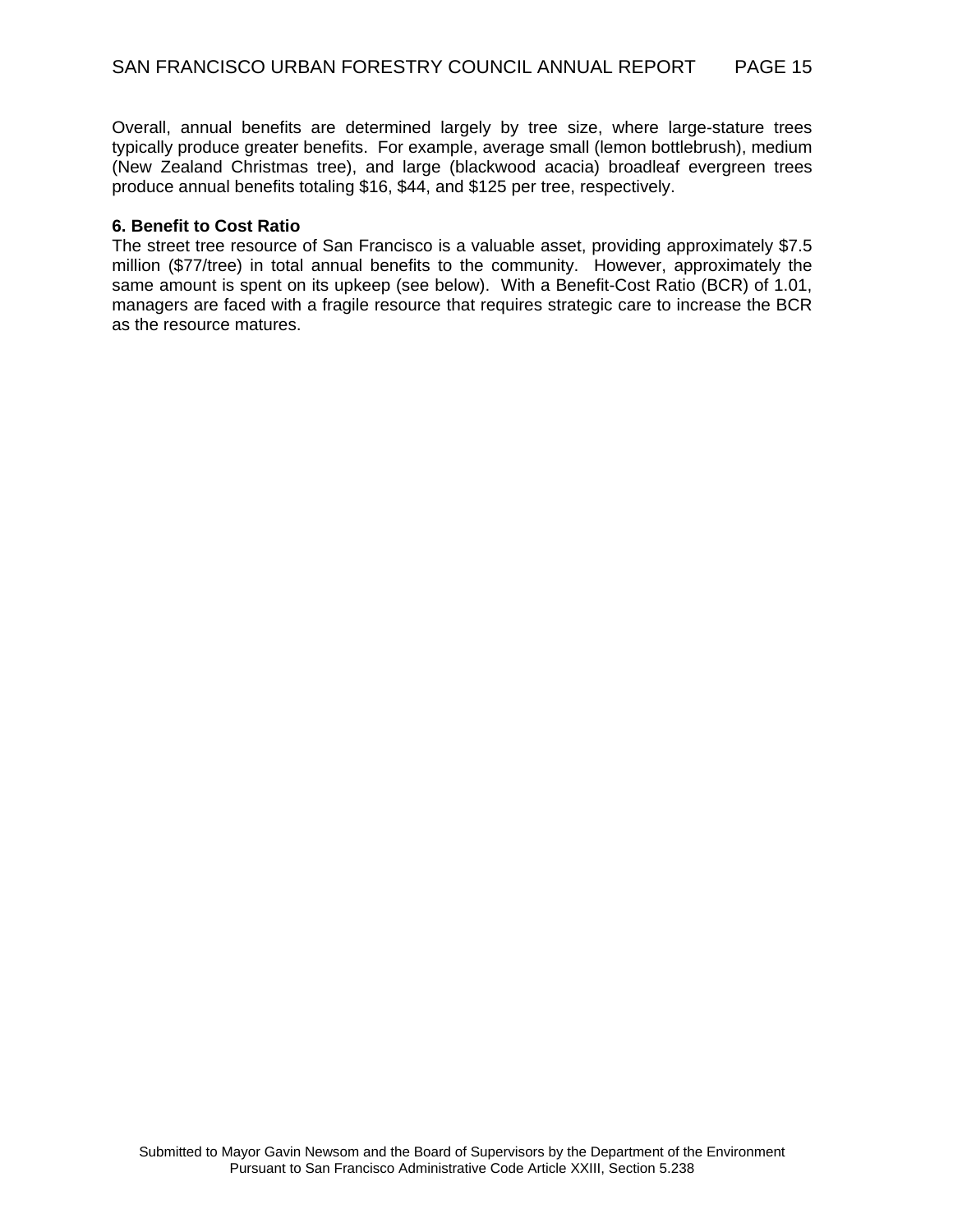Overall, annual benefits are determined largely by tree size, where large-stature trees typically produce greater benefits. For example, average small (lemon bottlebrush), medium (New Zealand Christmas tree), and large (blackwood acacia) broadleaf evergreen trees produce annual benefits totaling \$16, \$44, and \$125 per tree, respectively.

#### **6. Benefit to Cost Ratio**

The street tree resource of San Francisco is a valuable asset, providing approximately \$7.5 million (\$77/tree) in total annual benefits to the community. However, approximately the same amount is spent on its upkeep (see below). With a Benefit-Cost Ratio (BCR) of 1.01, managers are faced with a fragile resource that requires strategic care to increase the BCR as the resource matures.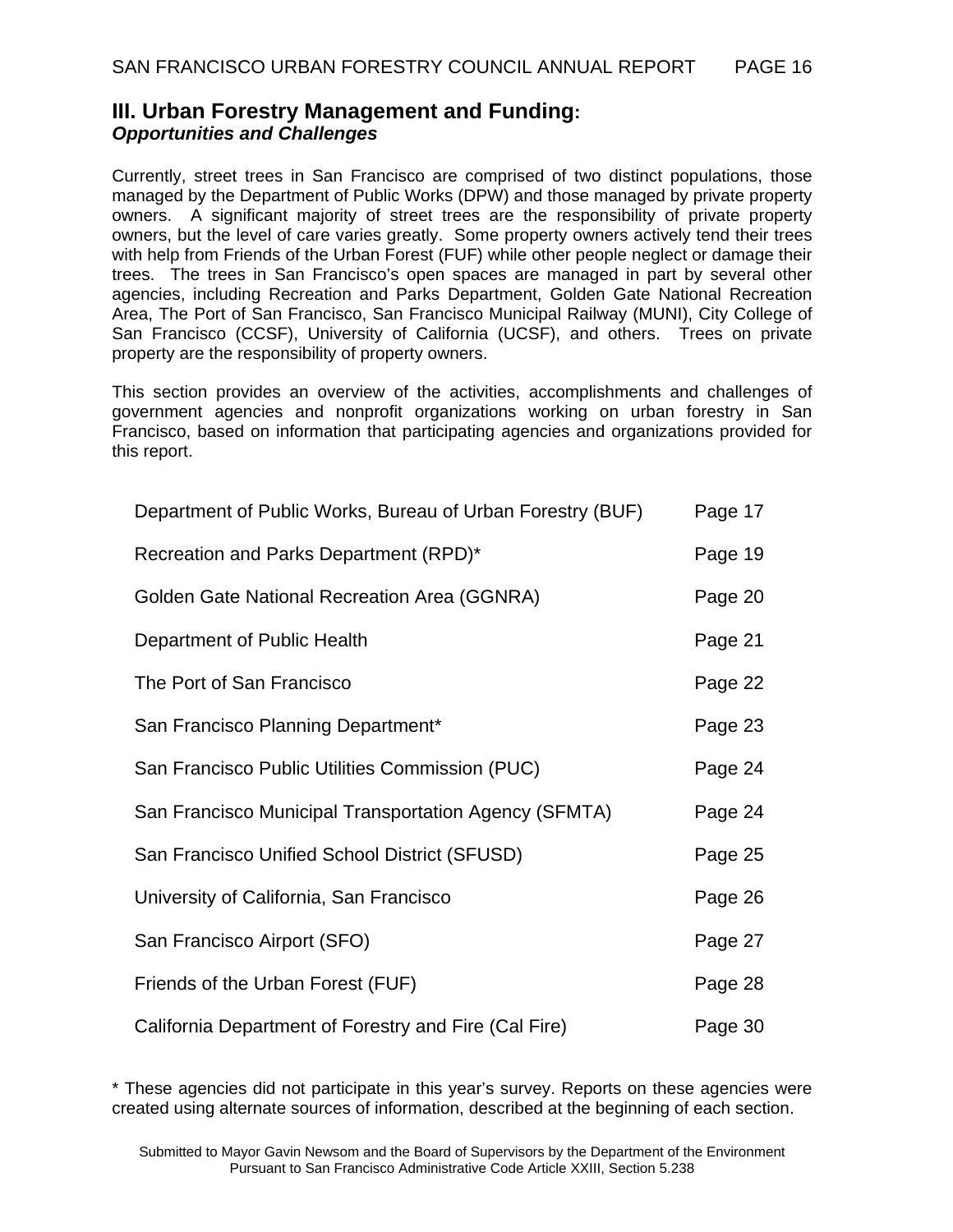## **III. Urban Forestry Management and Funding:**  *Opportunities and Challenges*

Currently, street trees in San Francisco are comprised of two distinct populations, those managed by the Department of Public Works (DPW) and those managed by private property owners. A significant majority of street trees are the responsibility of private property owners, but the level of care varies greatly. Some property owners actively tend their trees with help from Friends of the Urban Forest (FUF) while other people neglect or damage their trees. The trees in San Francisco's open spaces are managed in part by several other agencies, including Recreation and Parks Department, Golden Gate National Recreation Area, The Port of San Francisco, San Francisco Municipal Railway (MUNI), City College of San Francisco (CCSF), University of California (UCSF), and others. Trees on private property are the responsibility of property owners.

This section provides an overview of the activities, accomplishments and challenges of government agencies and nonprofit organizations working on urban forestry in San Francisco, based on information that participating agencies and organizations provided for this report.

| Department of Public Works, Bureau of Urban Forestry (BUF) | Page 17 |
|------------------------------------------------------------|---------|
| Recreation and Parks Department (RPD)*                     | Page 19 |
| Golden Gate National Recreation Area (GGNRA)               | Page 20 |
| Department of Public Health                                | Page 21 |
| The Port of San Francisco                                  | Page 22 |
| San Francisco Planning Department*                         | Page 23 |
| San Francisco Public Utilities Commission (PUC)            | Page 24 |
| San Francisco Municipal Transportation Agency (SFMTA)      | Page 24 |
| San Francisco Unified School District (SFUSD)              | Page 25 |
| University of California, San Francisco                    | Page 26 |
| San Francisco Airport (SFO)                                | Page 27 |
| Friends of the Urban Forest (FUF)                          | Page 28 |
| California Department of Forestry and Fire (Cal Fire)      | Page 30 |

\* These agencies did not participate in this year's survey. Reports on these agencies were created using alternate sources of information, described at the beginning of each section.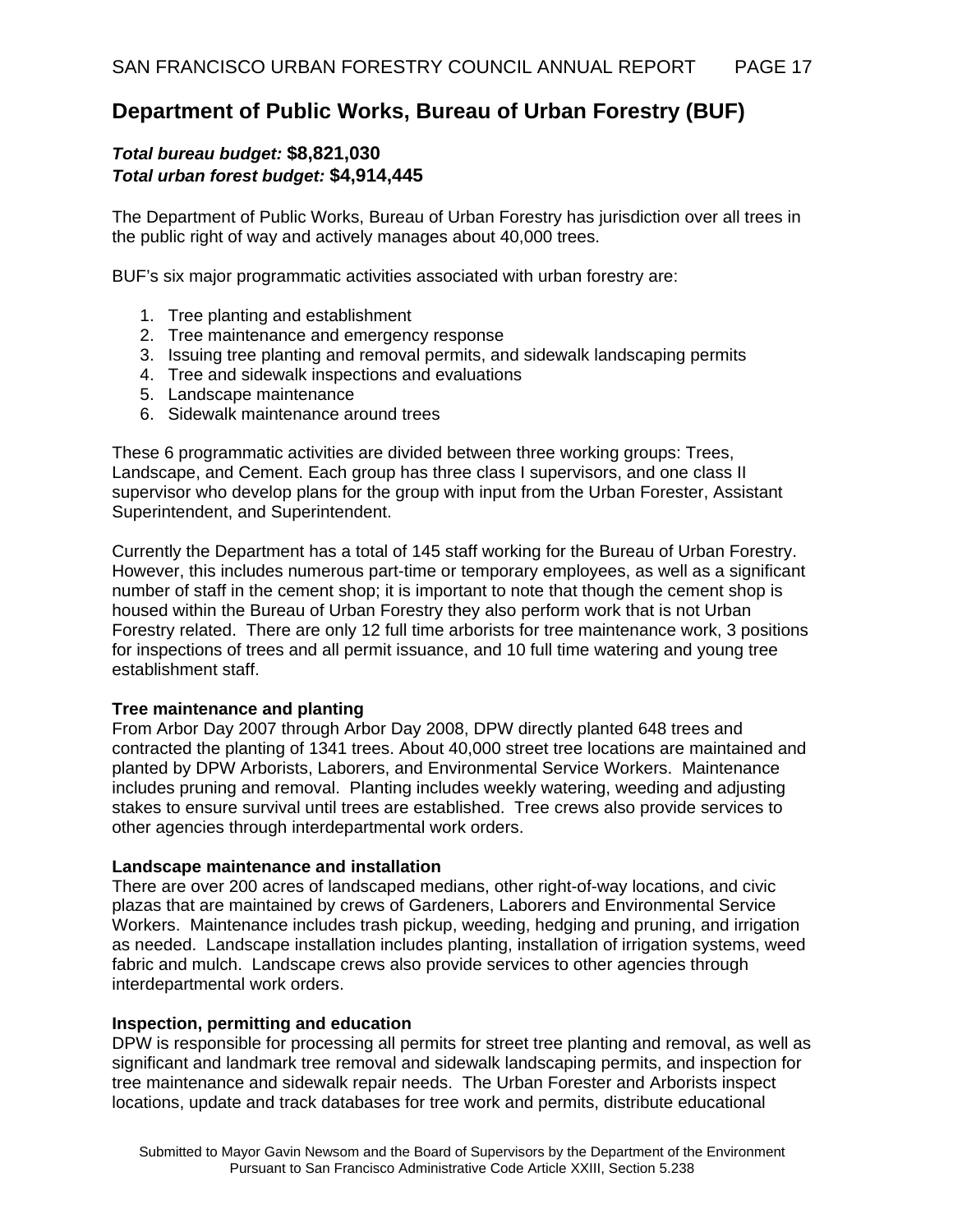# **Department of Public Works, Bureau of Urban Forestry (BUF)**

### *Total bureau budget:* **\$8,821,030** *Total urban forest budget:* **\$4,914,445**

The Department of Public Works, Bureau of Urban Forestry has jurisdiction over all trees in the public right of way and actively manages about 40,000 trees.

BUF's six major programmatic activities associated with urban forestry are:

- 1. Tree planting and establishment
- 2. Tree maintenance and emergency response
- 3. Issuing tree planting and removal permits, and sidewalk landscaping permits
- 4. Tree and sidewalk inspections and evaluations
- 5. Landscape maintenance
- 6. Sidewalk maintenance around trees

These 6 programmatic activities are divided between three working groups: Trees, Landscape, and Cement. Each group has three class I supervisors, and one class II supervisor who develop plans for the group with input from the Urban Forester, Assistant Superintendent, and Superintendent.

Currently the Department has a total of 145 staff working for the Bureau of Urban Forestry. However, this includes numerous part-time or temporary employees, as well as a significant number of staff in the cement shop; it is important to note that though the cement shop is housed within the Bureau of Urban Forestry they also perform work that is not Urban Forestry related. There are only 12 full time arborists for tree maintenance work, 3 positions for inspections of trees and all permit issuance, and 10 full time watering and young tree establishment staff.

#### **Tree maintenance and planting**

From Arbor Day 2007 through Arbor Day 2008, DPW directly planted 648 trees and contracted the planting of 1341 trees. About 40,000 street tree locations are maintained and planted by DPW Arborists, Laborers, and Environmental Service Workers. Maintenance includes pruning and removal. Planting includes weekly watering, weeding and adjusting stakes to ensure survival until trees are established. Tree crews also provide services to other agencies through interdepartmental work orders.

#### **Landscape maintenance and installation**

There are over 200 acres of landscaped medians, other right-of-way locations, and civic plazas that are maintained by crews of Gardeners, Laborers and Environmental Service Workers. Maintenance includes trash pickup, weeding, hedging and pruning, and irrigation as needed. Landscape installation includes planting, installation of irrigation systems, weed fabric and mulch. Landscape crews also provide services to other agencies through interdepartmental work orders.

#### **Inspection, permitting and education**

DPW is responsible for processing all permits for street tree planting and removal, as well as significant and landmark tree removal and sidewalk landscaping permits, and inspection for tree maintenance and sidewalk repair needs. The Urban Forester and Arborists inspect locations, update and track databases for tree work and permits, distribute educational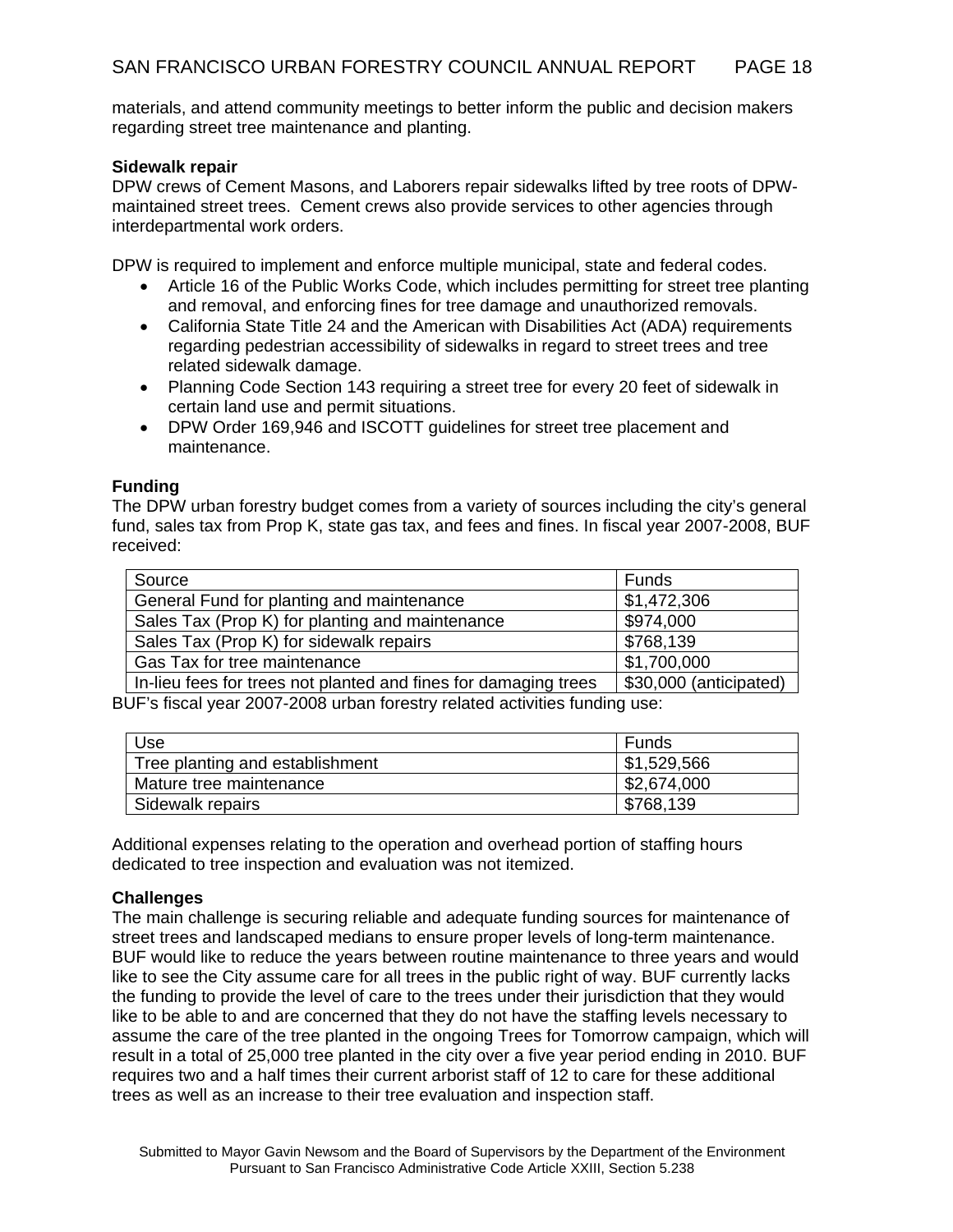materials, and attend community meetings to better inform the public and decision makers regarding street tree maintenance and planting.

#### **Sidewalk repair**

DPW crews of Cement Masons, and Laborers repair sidewalks lifted by tree roots of DPWmaintained street trees. Cement crews also provide services to other agencies through interdepartmental work orders.

DPW is required to implement and enforce multiple municipal, state and federal codes.

- Article 16 of the Public Works Code, which includes permitting for street tree planting and removal, and enforcing fines for tree damage and unauthorized removals.
- California State Title 24 and the American with Disabilities Act (ADA) requirements regarding pedestrian accessibility of sidewalks in regard to street trees and tree related sidewalk damage.
- Planning Code Section 143 requiring a street tree for every 20 feet of sidewalk in certain land use and permit situations.
- DPW Order 169,946 and ISCOTT guidelines for street tree placement and maintenance.

#### **Funding**

The DPW urban forestry budget comes from a variety of sources including the city's general fund, sales tax from Prop K, state gas tax, and fees and fines. In fiscal year 2007-2008, BUF received:

| Source                                                          | Funds                  |
|-----------------------------------------------------------------|------------------------|
| General Fund for planting and maintenance                       | \$1,472,306            |
| Sales Tax (Prop K) for planting and maintenance                 | \$974,000              |
| Sales Tax (Prop K) for sidewalk repairs                         | \$768,139              |
| Gas Tax for tree maintenance                                    | \$1,700,000            |
| In-lieu fees for trees not planted and fines for damaging trees | \$30,000 (anticipated) |

BUF's fiscal year 2007-2008 urban forestry related activities funding use:

| Use                             | Funds       |
|---------------------------------|-------------|
| Tree planting and establishment | \$1,529,566 |
| Mature tree maintenance         | \$2,674,000 |
| Sidewalk repairs                | \$768,139   |

Additional expenses relating to the operation and overhead portion of staffing hours dedicated to tree inspection and evaluation was not itemized.

#### **Challenges**

The main challenge is securing reliable and adequate funding sources for maintenance of street trees and landscaped medians to ensure proper levels of long-term maintenance. BUF would like to reduce the years between routine maintenance to three years and would like to see the City assume care for all trees in the public right of way. BUF currently lacks the funding to provide the level of care to the trees under their jurisdiction that they would like to be able to and are concerned that they do not have the staffing levels necessary to assume the care of the tree planted in the ongoing Trees for Tomorrow campaign, which will result in a total of 25,000 tree planted in the city over a five year period ending in 2010. BUF requires two and a half times their current arborist staff of 12 to care for these additional trees as well as an increase to their tree evaluation and inspection staff.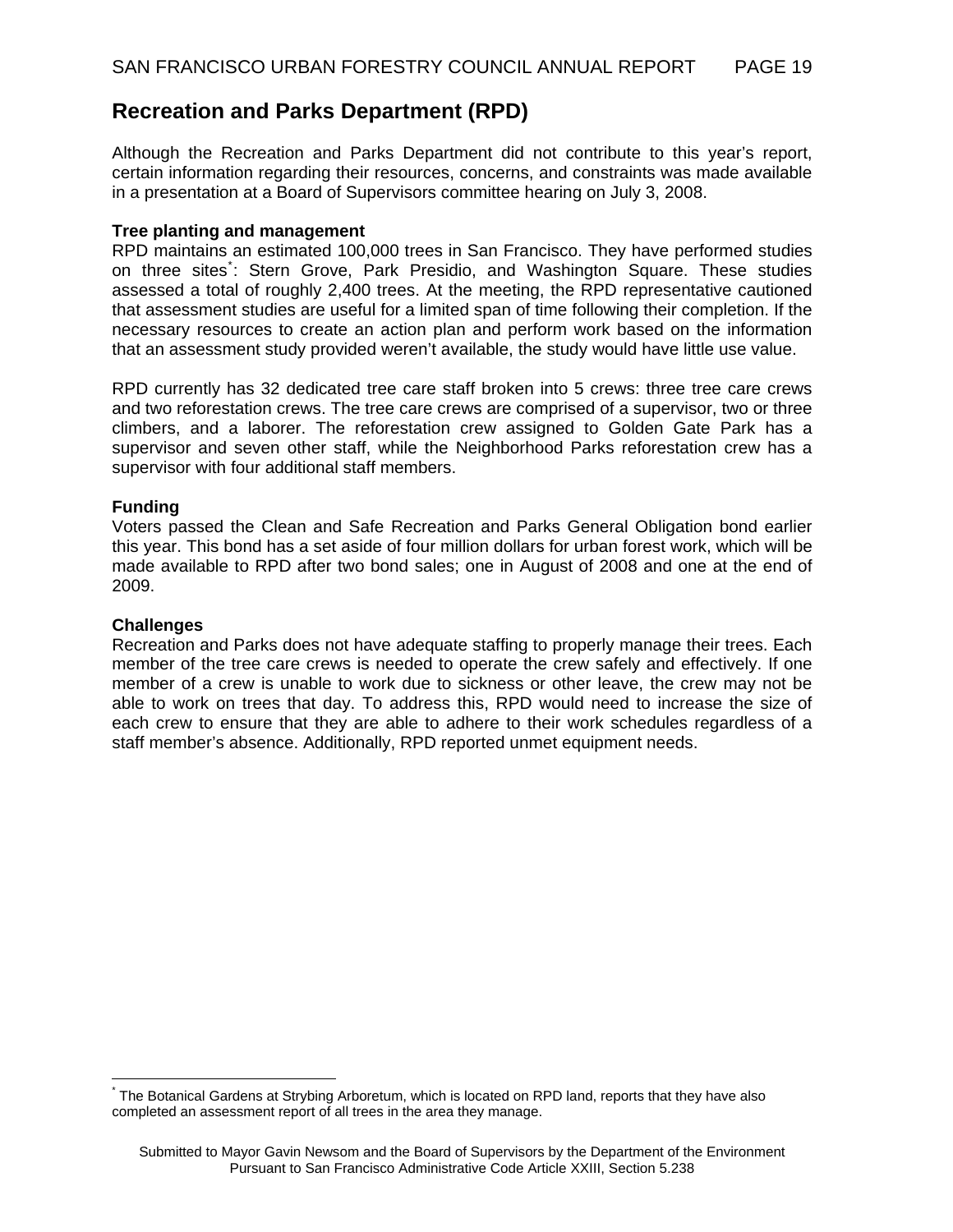## **Recreation and Parks Department (RPD)**

Although the Recreation and Parks Department did not contribute to this year's report, certain information regarding their resources, concerns, and constraints was made available in a presentation at a Board of Supervisors committee hearing on July 3, 2008.

#### **Tree planting and management**

RPD maintains an estimated 100,000 trees in San Francisco. They have performed studies on three sites<sup>[\\*](#page-18-0)</sup>: Stern Grove, Park Presidio, and Washington Square. These studies assessed a total of roughly 2,400 trees. At the meeting, the RPD representative cautioned that assessment studies are useful for a limited span of time following their completion. If the necessary resources to create an action plan and perform work based on the information that an assessment study provided weren't available, the study would have little use value.

RPD currently has 32 dedicated tree care staff broken into 5 crews: three tree care crews and two reforestation crews. The tree care crews are comprised of a supervisor, two or three climbers, and a laborer. The reforestation crew assigned to Golden Gate Park has a supervisor and seven other staff, while the Neighborhood Parks reforestation crew has a supervisor with four additional staff members.

#### **Funding**

Voters passed the Clean and Safe Recreation and Parks General Obligation bond earlier this year. This bond has a set aside of four million dollars for urban forest work, which will be made available to RPD after two bond sales; one in August of 2008 and one at the end of 2009.

#### **Challenges**

 $\overline{a}$ 

Recreation and Parks does not have adequate staffing to properly manage their trees. Each member of the tree care crews is needed to operate the crew safely and effectively. If one member of a crew is unable to work due to sickness or other leave, the crew may not be able to work on trees that day. To address this, RPD would need to increase the size of each crew to ensure that they are able to adhere to their work schedules regardless of a staff member's absence. Additionally, RPD reported unmet equipment needs.

<span id="page-18-0"></span><sup>\*</sup> The Botanical Gardens at Strybing Arboretum, which is located on RPD land, reports that they have also completed an assessment report of all trees in the area they manage.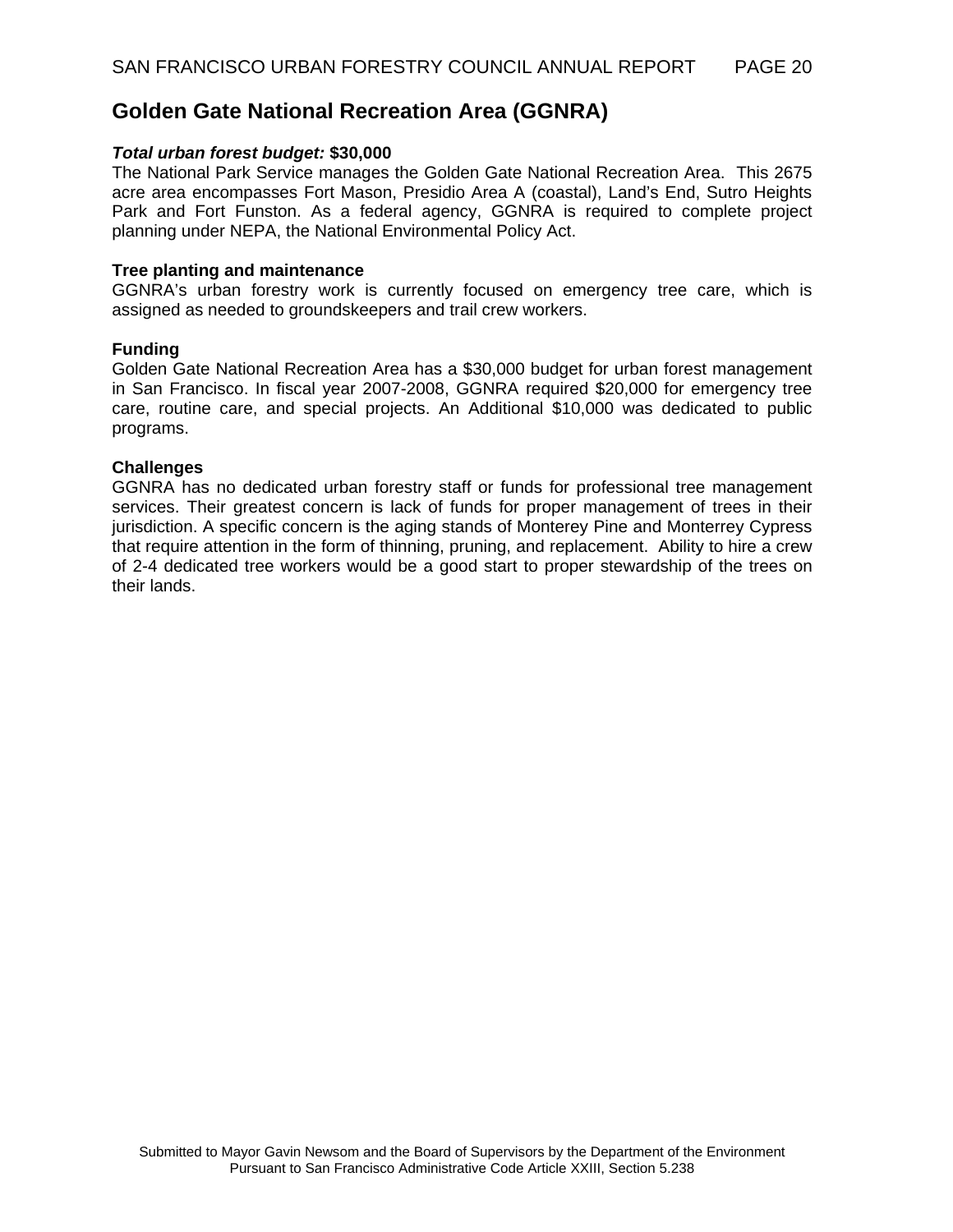## **Golden Gate National Recreation Area (GGNRA)**

#### *Total urban forest budget:* **\$30,000**

The National Park Service manages the Golden Gate National Recreation Area. This 2675 acre area encompasses Fort Mason, Presidio Area A (coastal), Land's End, Sutro Heights Park and Fort Funston. As a federal agency, GGNRA is required to complete project planning under NEPA, the National Environmental Policy Act.

#### **Tree planting and maintenance**

GGNRA's urban forestry work is currently focused on emergency tree care, which is assigned as needed to groundskeepers and trail crew workers.

#### **Funding**

Golden Gate National Recreation Area has a \$30,000 budget for urban forest management in San Francisco. In fiscal year 2007-2008, GGNRA required \$20,000 for emergency tree care, routine care, and special projects. An Additional \$10,000 was dedicated to public programs.

#### **Challenges**

GGNRA has no dedicated urban forestry staff or funds for professional tree management services. Their greatest concern is lack of funds for proper management of trees in their jurisdiction. A specific concern is the aging stands of Monterey Pine and Monterrey Cypress that require attention in the form of thinning, pruning, and replacement. Ability to hire a crew of 2-4 dedicated tree workers would be a good start to proper stewardship of the trees on their lands.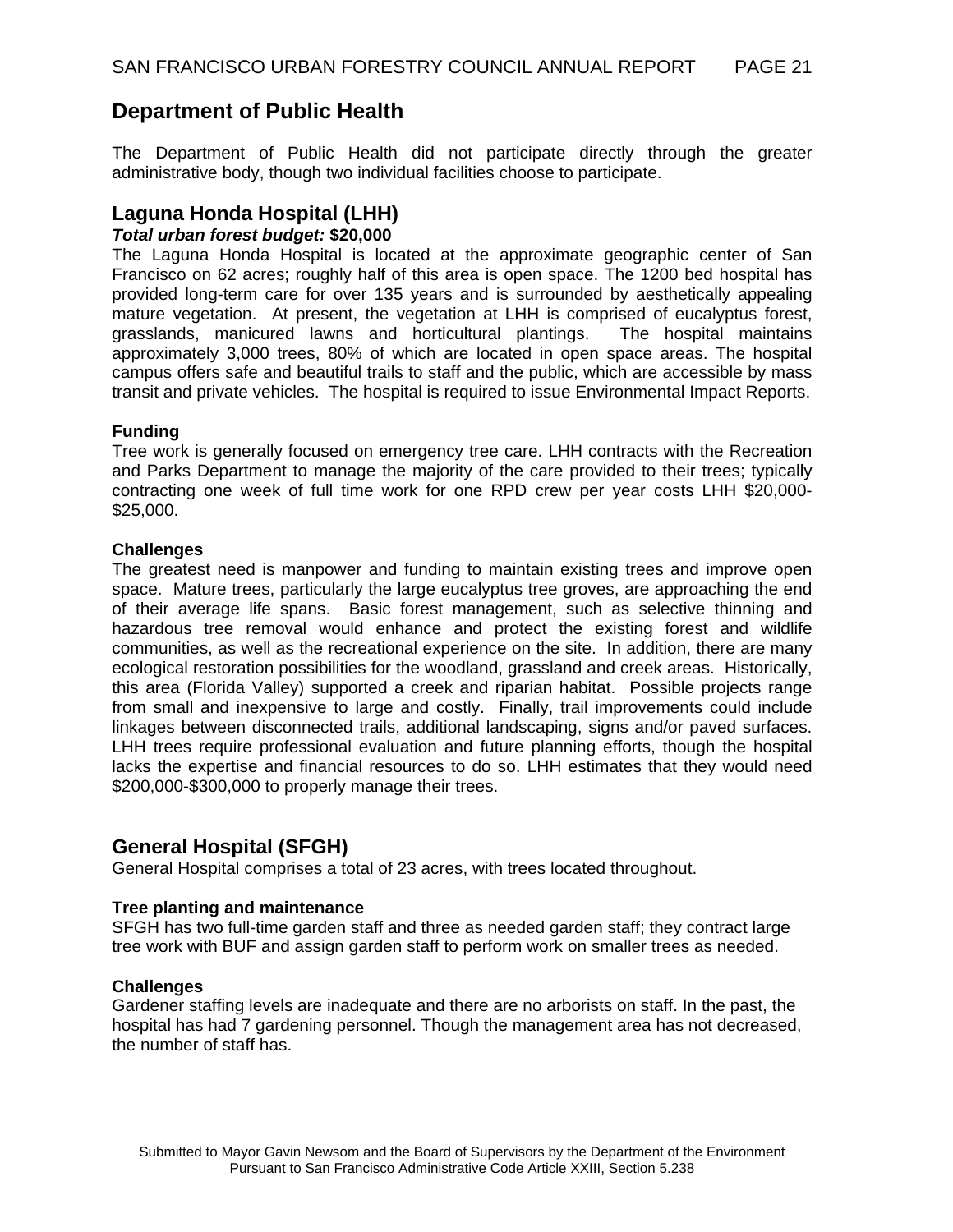## **Department of Public Health**

The Department of Public Health did not participate directly through the greater administrative body, though two individual facilities choose to participate.

### **Laguna Honda Hospital (LHH)**

#### *Total urban forest budget:* **\$20,000**

The Laguna Honda Hospital is located at the approximate geographic center of San Francisco on 62 acres; roughly half of this area is open space. The 1200 bed hospital has provided long-term care for over 135 years and is surrounded by aesthetically appealing mature vegetation. At present, the vegetation at LHH is comprised of eucalyptus forest, grasslands, manicured lawns and horticultural plantings. The hospital maintains approximately 3,000 trees, 80% of which are located in open space areas. The hospital campus offers safe and beautiful trails to staff and the public, which are accessible by mass transit and private vehicles. The hospital is required to issue Environmental Impact Reports.

#### **Funding**

Tree work is generally focused on emergency tree care. LHH contracts with the Recreation and Parks Department to manage the majority of the care provided to their trees; typically contracting one week of full time work for one RPD crew per year costs LHH \$20,000- \$25,000.

#### **Challenges**

The greatest need is manpower and funding to maintain existing trees and improve open space. Mature trees, particularly the large eucalyptus tree groves, are approaching the end of their average life spans. Basic forest management, such as selective thinning and hazardous tree removal would enhance and protect the existing forest and wildlife communities, as well as the recreational experience on the site. In addition, there are many ecological restoration possibilities for the woodland, grassland and creek areas. Historically, this area (Florida Valley) supported a creek and riparian habitat. Possible projects range from small and inexpensive to large and costly. Finally, trail improvements could include linkages between disconnected trails, additional landscaping, signs and/or paved surfaces. LHH trees require professional evaluation and future planning efforts, though the hospital lacks the expertise and financial resources to do so. LHH estimates that they would need \$200,000-\$300,000 to properly manage their trees.

### **General Hospital (SFGH)**

General Hospital comprises a total of 23 acres, with trees located throughout.

#### **Tree planting and maintenance**

SFGH has two full-time garden staff and three as needed garden staff; they contract large tree work with BUF and assign garden staff to perform work on smaller trees as needed.

#### **Challenges**

Gardener staffing levels are inadequate and there are no arborists on staff. In the past, the hospital has had 7 gardening personnel. Though the management area has not decreased, the number of staff has.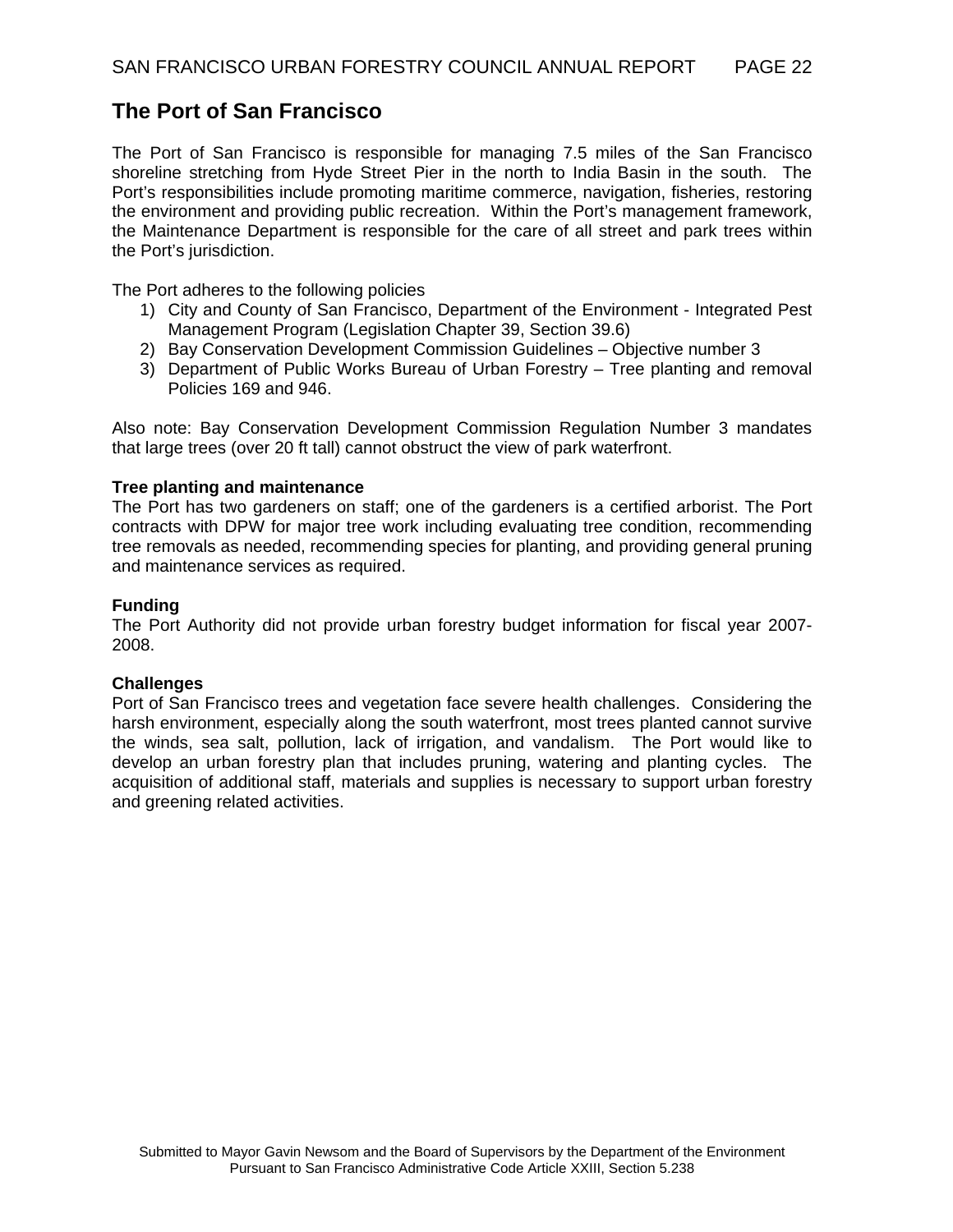# **The Port of San Francisco**

The Port of San Francisco is responsible for managing 7.5 miles of the San Francisco shoreline stretching from Hyde Street Pier in the north to India Basin in the south. The Port's responsibilities include promoting maritime commerce, navigation, fisheries, restoring the environment and providing public recreation. Within the Port's management framework, the Maintenance Department is responsible for the care of all street and park trees within the Port's jurisdiction.

The Port adheres to the following policies

- 1) City and County of San Francisco, Department of the Environment Integrated Pest Management Program (Legislation Chapter 39, Section 39.6)
- 2) Bay Conservation Development Commission Guidelines Objective number 3
- 3) Department of Public Works Bureau of Urban Forestry Tree planting and removal Policies 169 and 946.

Also note: Bay Conservation Development Commission Regulation Number 3 mandates that large trees (over 20 ft tall) cannot obstruct the view of park waterfront.

#### **Tree planting and maintenance**

The Port has two gardeners on staff; one of the gardeners is a certified arborist. The Port contracts with DPW for major tree work including evaluating tree condition, recommending tree removals as needed, recommending species for planting, and providing general pruning and maintenance services as required.

#### **Funding**

The Port Authority did not provide urban forestry budget information for fiscal year 2007- 2008.

#### **Challenges**

Port of San Francisco trees and vegetation face severe health challenges. Considering the harsh environment, especially along the south waterfront, most trees planted cannot survive the winds, sea salt, pollution, lack of irrigation, and vandalism. The Port would like to develop an urban forestry plan that includes pruning, watering and planting cycles. The acquisition of additional staff, materials and supplies is necessary to support urban forestry and greening related activities.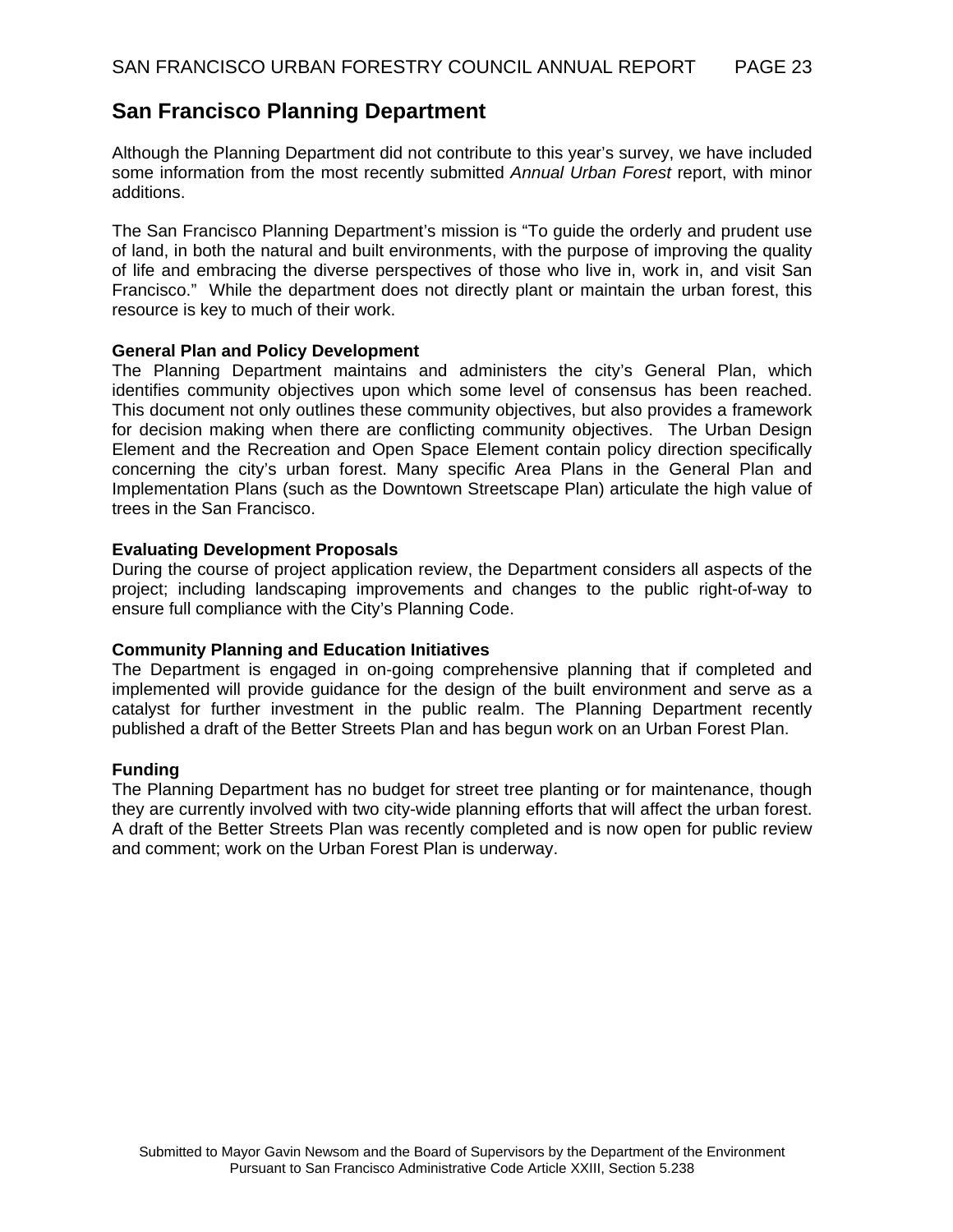## **San Francisco Planning Department**

Although the Planning Department did not contribute to this year's survey, we have included some information from the most recently submitted *Annual Urban Forest* report, with minor additions.

The San Francisco Planning Department's mission is "To guide the orderly and prudent use of land, in both the natural and built environments, with the purpose of improving the quality of life and embracing the diverse perspectives of those who live in, work in, and visit San Francisco." While the department does not directly plant or maintain the urban forest, this resource is key to much of their work.

#### **General Plan and Policy Development**

The Planning Department maintains and administers the city's General Plan, which identifies community objectives upon which some level of consensus has been reached. This document not only outlines these community objectives, but also provides a framework for decision making when there are conflicting community objectives. The Urban Design Element and the Recreation and Open Space Element contain policy direction specifically concerning the city's urban forest. Many specific Area Plans in the General Plan and Implementation Plans (such as the Downtown Streetscape Plan) articulate the high value of trees in the San Francisco.

#### **Evaluating Development Proposals**

During the course of project application review, the Department considers all aspects of the project; including landscaping improvements and changes to the public right-of-way to ensure full compliance with the City's Planning Code.

#### **Community Planning and Education Initiatives**

The Department is engaged in on-going comprehensive planning that if completed and implemented will provide guidance for the design of the built environment and serve as a catalyst for further investment in the public realm. The Planning Department recently published a draft of the Better Streets Plan and has begun work on an Urban Forest Plan.

#### **Funding**

The Planning Department has no budget for street tree planting or for maintenance, though they are currently involved with two city-wide planning efforts that will affect the urban forest. A draft of the Better Streets Plan was recently completed and is now open for public review and comment; work on the Urban Forest Plan is underway.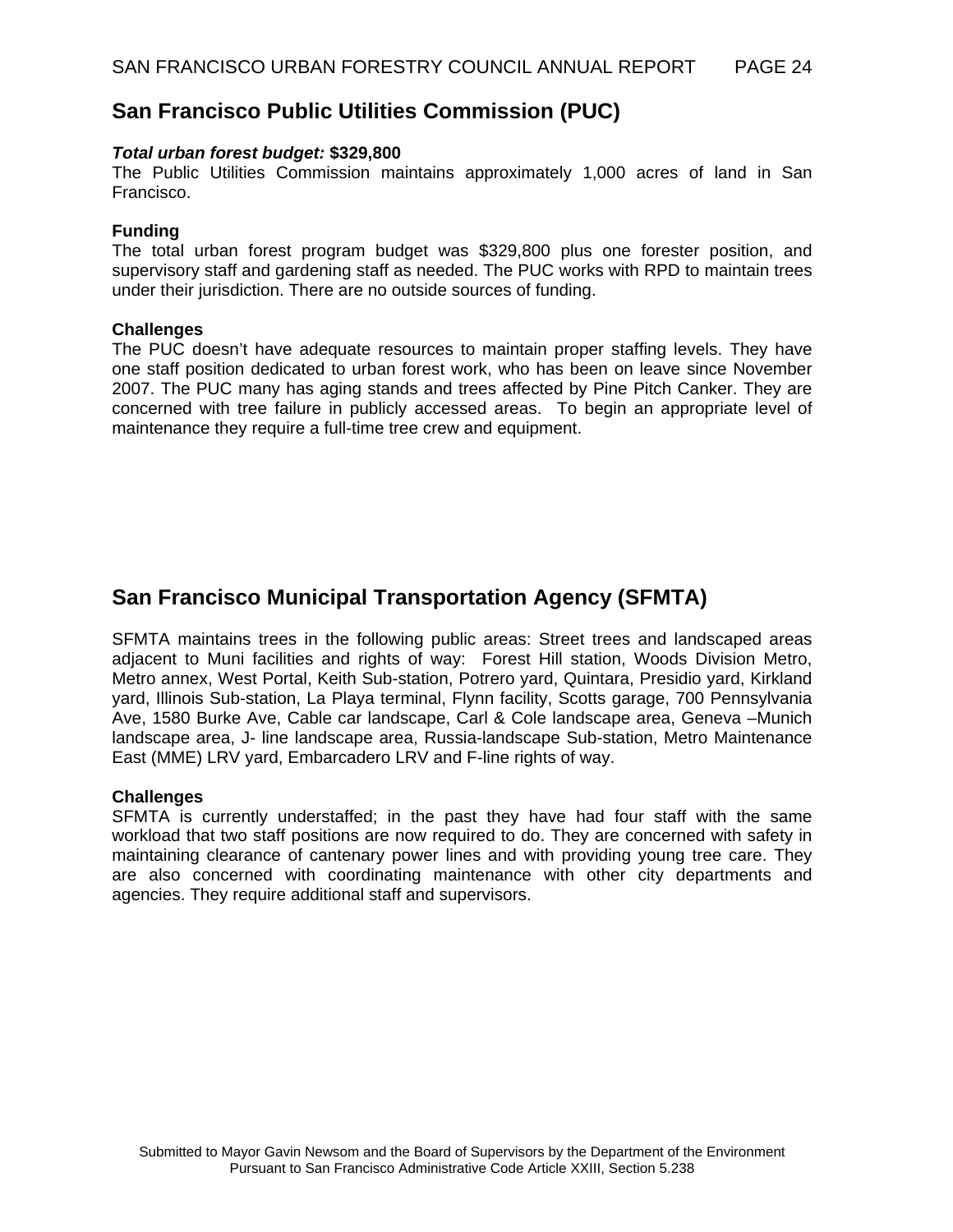## **San Francisco Public Utilities Commission (PUC)**

#### *Total urban forest budget:* **\$329,800**

The Public Utilities Commission maintains approximately 1,000 acres of land in San Francisco.

#### **Funding**

The total urban forest program budget was \$329,800 plus one forester position, and supervisory staff and gardening staff as needed. The PUC works with RPD to maintain trees under their jurisdiction. There are no outside sources of funding.

#### **Challenges**

The PUC doesn't have adequate resources to maintain proper staffing levels. They have one staff position dedicated to urban forest work, who has been on leave since November 2007. The PUC many has aging stands and trees affected by Pine Pitch Canker. They are concerned with tree failure in publicly accessed areas. To begin an appropriate level of maintenance they require a full-time tree crew and equipment.

# **San Francisco Municipal Transportation Agency (SFMTA)**

SFMTA maintains trees in the following public areas: Street trees and landscaped areas adjacent to Muni facilities and rights of way: Forest Hill station, Woods Division Metro, Metro annex, West Portal, Keith Sub-station, Potrero yard, Quintara, Presidio yard, Kirkland yard, Illinois Sub-station, La Playa terminal, Flynn facility, Scotts garage, 700 Pennsylvania Ave, 1580 Burke Ave, Cable car landscape, Carl & Cole landscape area, Geneva –Munich landscape area, J- line landscape area, Russia-landscape Sub-station, Metro Maintenance East (MME) LRV yard, Embarcadero LRV and F-line rights of way.

#### **Challenges**

SFMTA is currently understaffed; in the past they have had four staff with the same workload that two staff positions are now required to do. They are concerned with safety in maintaining clearance of cantenary power lines and with providing young tree care. They are also concerned with coordinating maintenance with other city departments and agencies. They require additional staff and supervisors.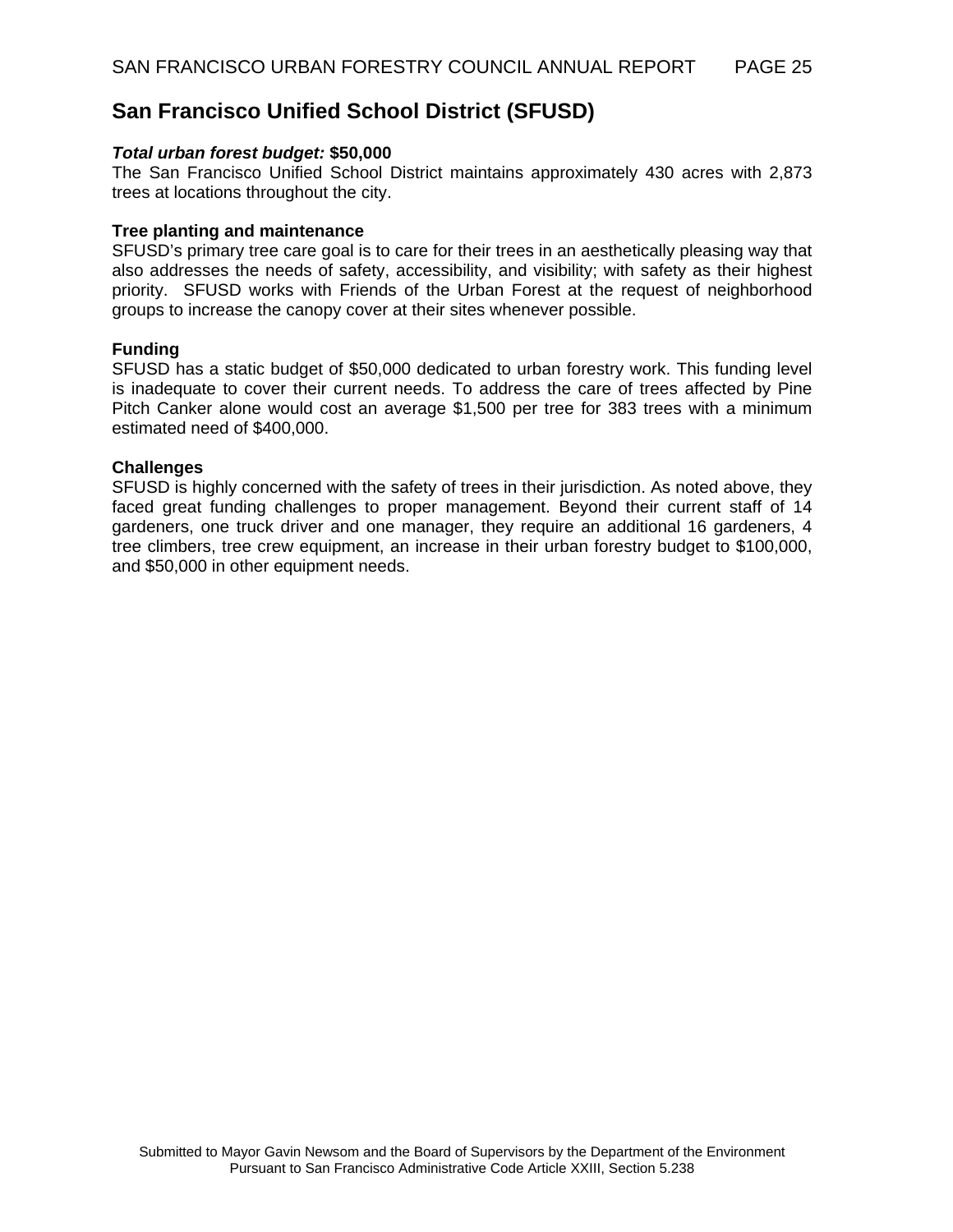## **San Francisco Unified School District (SFUSD)**

#### *Total urban forest budget:* **\$50,000**

The San Francisco Unified School District maintains approximately 430 acres with 2,873 trees at locations throughout the city.

#### **Tree planting and maintenance**

SFUSD's primary tree care goal is to care for their trees in an aesthetically pleasing way that also addresses the needs of safety, accessibility, and visibility; with safety as their highest priority. SFUSD works with Friends of the Urban Forest at the request of neighborhood groups to increase the canopy cover at their sites whenever possible.

#### **Funding**

SFUSD has a static budget of \$50,000 dedicated to urban forestry work. This funding level is inadequate to cover their current needs. To address the care of trees affected by Pine Pitch Canker alone would cost an average \$1,500 per tree for 383 trees with a minimum estimated need of \$400,000.

#### **Challenges**

SFUSD is highly concerned with the safety of trees in their jurisdiction. As noted above, they faced great funding challenges to proper management. Beyond their current staff of 14 gardeners, one truck driver and one manager, they require an additional 16 gardeners, 4 tree climbers, tree crew equipment, an increase in their urban forestry budget to \$100,000, and \$50,000 in other equipment needs.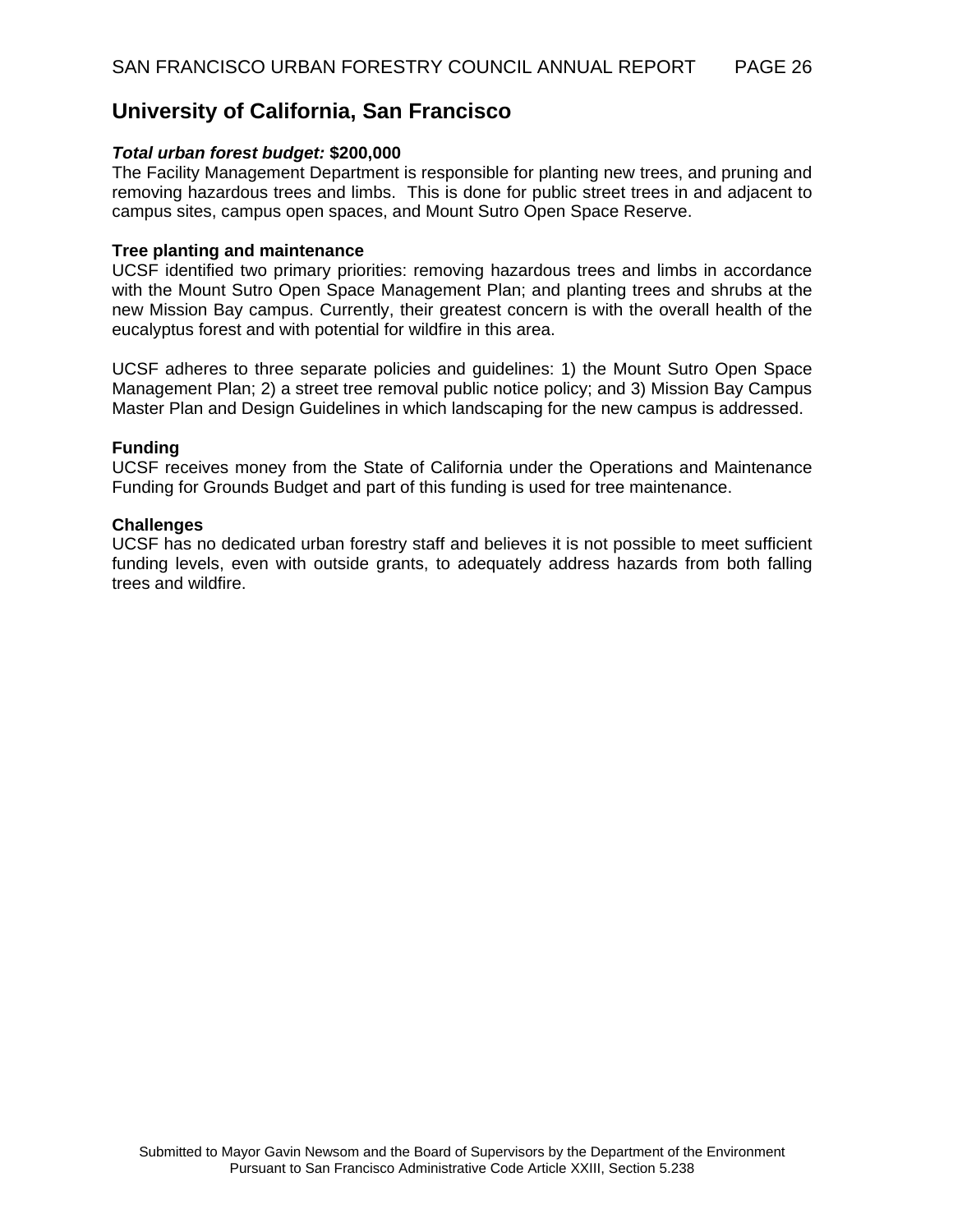## **University of California, San Francisco**

#### *Total urban forest budget:* **\$200,000**

The Facility Management Department is responsible for planting new trees, and pruning and removing hazardous trees and limbs. This is done for public street trees in and adjacent to campus sites, campus open spaces, and Mount Sutro Open Space Reserve.

#### **Tree planting and maintenance**

UCSF identified two primary priorities: removing hazardous trees and limbs in accordance with the Mount Sutro Open Space Management Plan; and planting trees and shrubs at the new Mission Bay campus. Currently, their greatest concern is with the overall health of the eucalyptus forest and with potential for wildfire in this area.

UCSF adheres to three separate policies and guidelines: 1) the Mount Sutro Open Space Management Plan; 2) a street tree removal public notice policy; and 3) Mission Bay Campus Master Plan and Design Guidelines in which landscaping for the new campus is addressed.

#### **Funding**

UCSF receives money from the State of California under the Operations and Maintenance Funding for Grounds Budget and part of this funding is used for tree maintenance.

#### **Challenges**

UCSF has no dedicated urban forestry staff and believes it is not possible to meet sufficient funding levels, even with outside grants, to adequately address hazards from both falling trees and wildfire.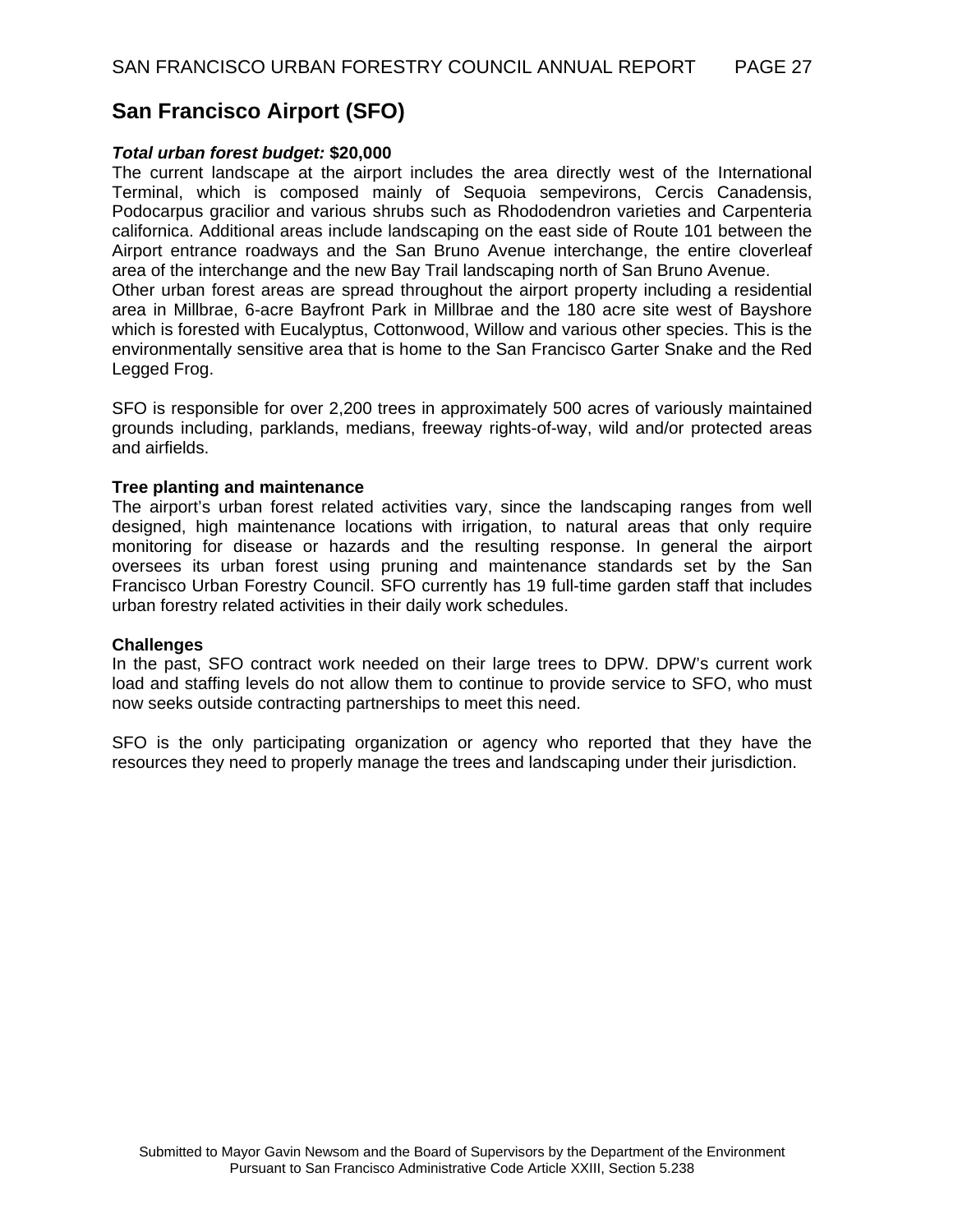# **San Francisco Airport (SFO)**

#### *Total urban forest budget:* **\$20,000**

The current landscape at the airport includes the area directly west of the International Terminal, which is composed mainly of Sequoia sempevirons, Cercis Canadensis, Podocarpus gracilior and various shrubs such as Rhododendron varieties and Carpenteria californica. Additional areas include landscaping on the east side of Route 101 between the Airport entrance roadways and the San Bruno Avenue interchange, the entire cloverleaf area of the interchange and the new Bay Trail landscaping north of San Bruno Avenue.

Other urban forest areas are spread throughout the airport property including a residential area in Millbrae, 6-acre Bayfront Park in Millbrae and the 180 acre site west of Bayshore which is forested with Eucalyptus, Cottonwood, Willow and various other species. This is the environmentally sensitive area that is home to the San Francisco Garter Snake and the Red Legged Frog.

SFO is responsible for over 2,200 trees in approximately 500 acres of variously maintained grounds including, parklands, medians, freeway rights-of-way, wild and/or protected areas and airfields.

#### **Tree planting and maintenance**

The airport's urban forest related activities vary, since the landscaping ranges from well designed, high maintenance locations with irrigation, to natural areas that only require monitoring for disease or hazards and the resulting response. In general the airport oversees its urban forest using pruning and maintenance standards set by the San Francisco Urban Forestry Council. SFO currently has 19 full-time garden staff that includes urban forestry related activities in their daily work schedules.

#### **Challenges**

In the past, SFO contract work needed on their large trees to DPW. DPW's current work load and staffing levels do not allow them to continue to provide service to SFO, who must now seeks outside contracting partnerships to meet this need.

SFO is the only participating organization or agency who reported that they have the resources they need to properly manage the trees and landscaping under their jurisdiction.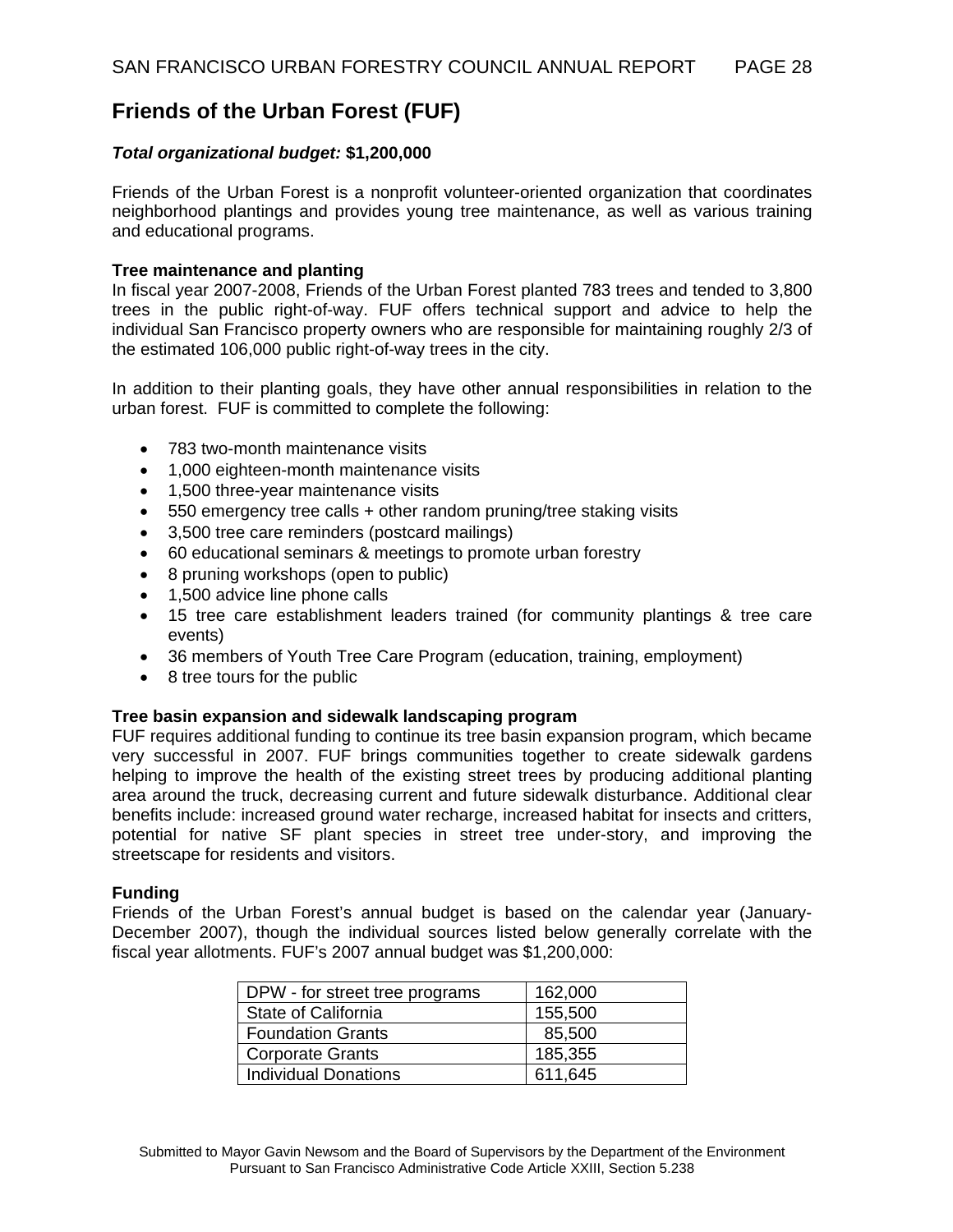# **Friends of the Urban Forest (FUF)**

#### *Total organizational budget:* **\$1,200,000**

Friends of the Urban Forest is a nonprofit volunteer-oriented organization that coordinates neighborhood plantings and provides young tree maintenance, as well as various training and educational programs.

#### **Tree maintenance and planting**

In fiscal year 2007-2008, Friends of the Urban Forest planted 783 trees and tended to 3,800 trees in the public right-of-way. FUF offers technical support and advice to help the individual San Francisco property owners who are responsible for maintaining roughly 2/3 of the estimated 106,000 public right-of-way trees in the city.

In addition to their planting goals, they have other annual responsibilities in relation to the urban forest. FUF is committed to complete the following:

- 783 two-month maintenance visits
- 1,000 eighteen-month maintenance visits
- 1,500 three-year maintenance visits
- 550 emergency tree calls + other random pruning/tree staking visits
- 3,500 tree care reminders (postcard mailings)
- 60 educational seminars & meetings to promote urban forestry
- 8 pruning workshops (open to public)
- 1,500 advice line phone calls
- 15 tree care establishment leaders trained (for community plantings & tree care events)
- 36 members of Youth Tree Care Program (education, training, employment)
- 8 tree tours for the public

#### **Tree basin expansion and sidewalk landscaping program**

FUF requires additional funding to continue its tree basin expansion program, which became very successful in 2007. FUF brings communities together to create sidewalk gardens helping to improve the health of the existing street trees by producing additional planting area around the truck, decreasing current and future sidewalk disturbance. Additional clear benefits include: increased ground water recharge, increased habitat for insects and critters, potential for native SF plant species in street tree under-story, and improving the streetscape for residents and visitors.

#### **Funding**

Friends of the Urban Forest's annual budget is based on the calendar year (January-December 2007), though the individual sources listed below generally correlate with the fiscal year allotments. FUF's 2007 annual budget was \$1,200,000:

| DPW - for street tree programs | 162,000 |
|--------------------------------|---------|
| State of California            | 155,500 |
| <b>Foundation Grants</b>       | 85,500  |
| <b>Corporate Grants</b>        | 185,355 |
| <b>Individual Donations</b>    | 611,645 |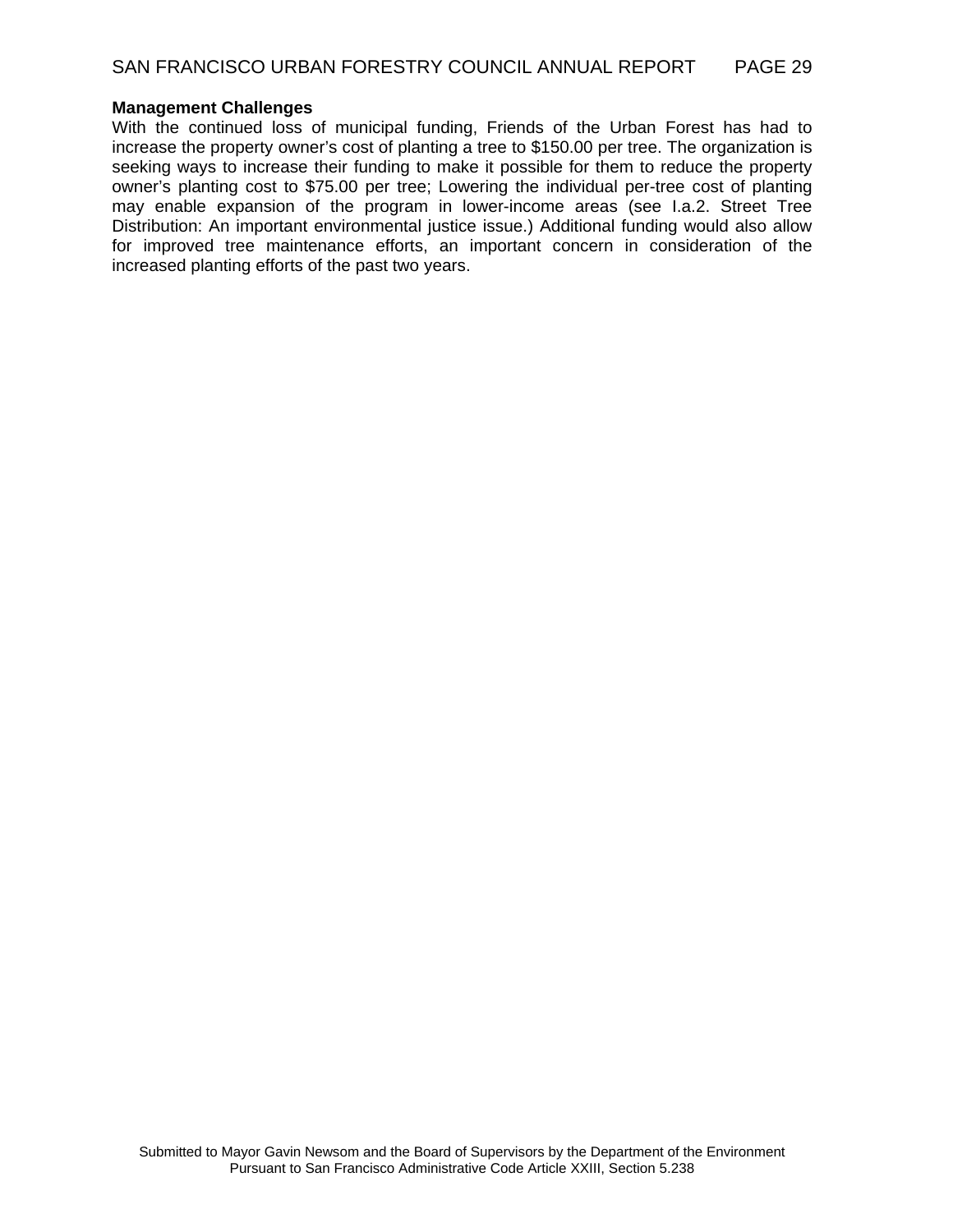#### **Management Challenges**

With the continued loss of municipal funding, Friends of the Urban Forest has had to increase the property owner's cost of planting a tree to \$150.00 per tree. The organization is seeking ways to increase their funding to make it possible for them to reduce the property owner's planting cost to \$75.00 per tree; Lowering the individual per-tree cost of planting may enable expansion of the program in lower-income areas (see I.a.2. Street Tree Distribution: An important environmental justice issue.) Additional funding would also allow for improved tree maintenance efforts, an important concern in consideration of the increased planting efforts of the past two years.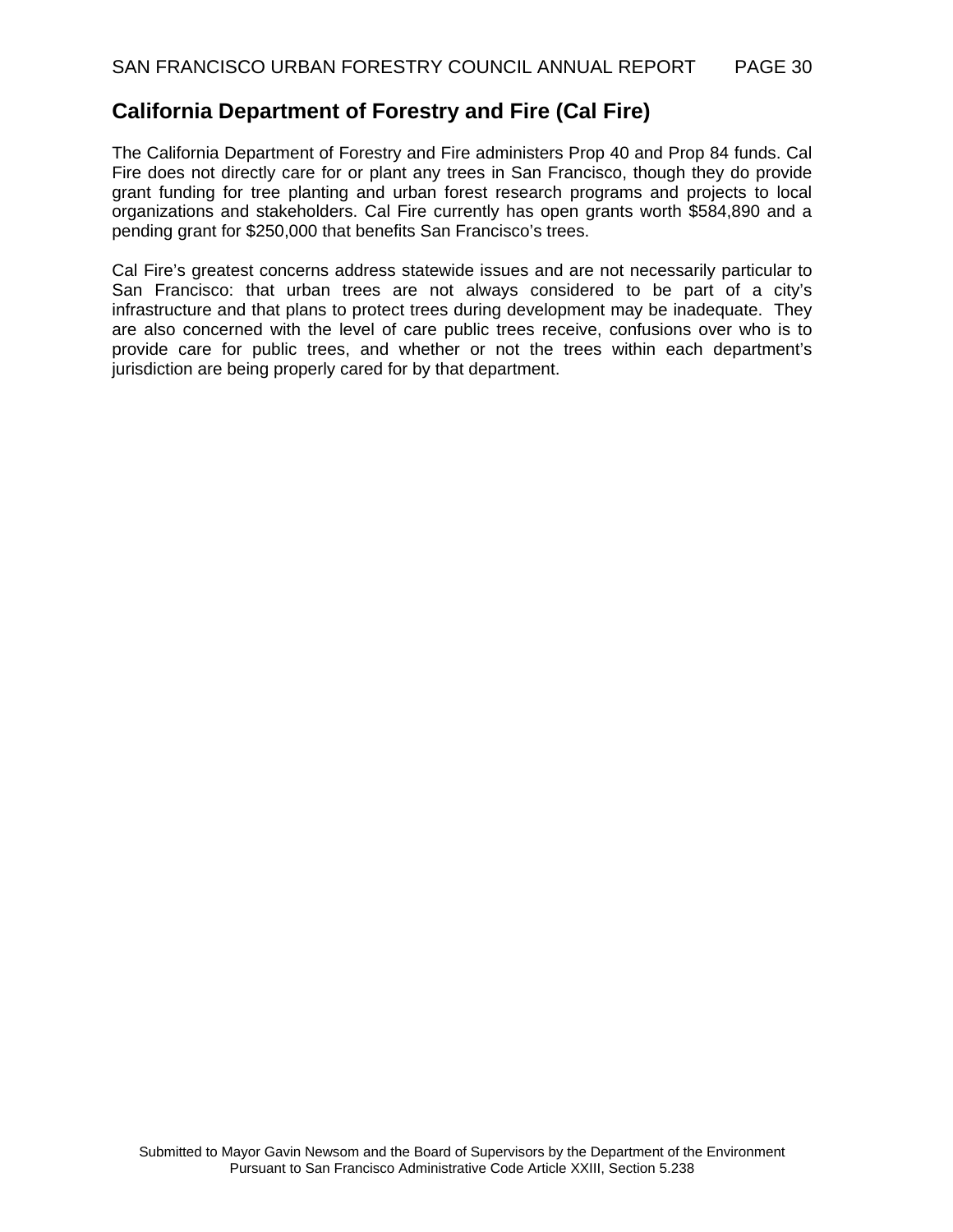## **California Department of Forestry and Fire (Cal Fire)**

The California Department of Forestry and Fire administers Prop 40 and Prop 84 funds. Cal Fire does not directly care for or plant any trees in San Francisco, though they do provide grant funding for tree planting and urban forest research programs and projects to local organizations and stakeholders. Cal Fire currently has open grants worth \$584,890 and a pending grant for \$250,000 that benefits San Francisco's trees.

Cal Fire's greatest concerns address statewide issues and are not necessarily particular to San Francisco: that urban trees are not always considered to be part of a city's infrastructure and that plans to protect trees during development may be inadequate. They are also concerned with the level of care public trees receive, confusions over who is to provide care for public trees, and whether or not the trees within each department's jurisdiction are being properly cared for by that department.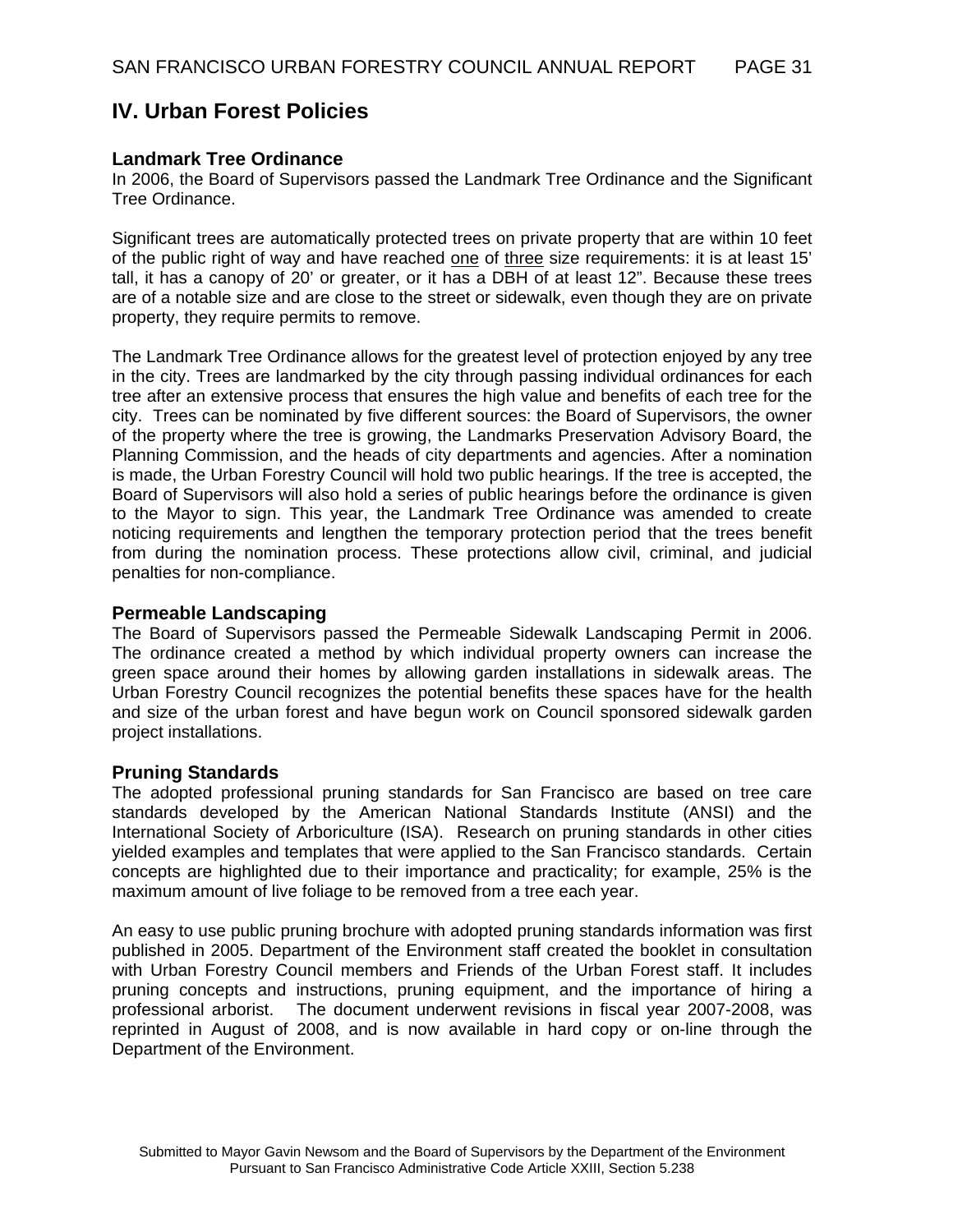# **IV. Urban Forest Policies**

#### **Landmark Tree Ordinance**

In 2006, the Board of Supervisors passed the Landmark Tree Ordinance and the Significant Tree Ordinance.

Significant trees are automatically protected trees on private property that are within 10 feet of the public right of way and have reached one of three size requirements: it is at least 15' tall, it has a canopy of 20' or greater, or it has a DBH of at least 12". Because these trees are of a notable size and are close to the street or sidewalk, even though they are on private property, they require permits to remove.

The Landmark Tree Ordinance allows for the greatest level of protection enjoyed by any tree in the city. Trees are landmarked by the city through passing individual ordinances for each tree after an extensive process that ensures the high value and benefits of each tree for the city. Trees can be nominated by five different sources: the Board of Supervisors, the owner of the property where the tree is growing, the Landmarks Preservation Advisory Board, the Planning Commission, and the heads of city departments and agencies. After a nomination is made, the Urban Forestry Council will hold two public hearings. If the tree is accepted, the Board of Supervisors will also hold a series of public hearings before the ordinance is given to the Mayor to sign. This year, the Landmark Tree Ordinance was amended to create noticing requirements and lengthen the temporary protection period that the trees benefit from during the nomination process. These protections allow civil, criminal, and judicial penalties for non-compliance.

#### **Permeable Landscaping**

The Board of Supervisors passed the Permeable Sidewalk Landscaping Permit in 2006. The ordinance created a method by which individual property owners can increase the green space around their homes by allowing garden installations in sidewalk areas. The Urban Forestry Council recognizes the potential benefits these spaces have for the health and size of the urban forest and have begun work on Council sponsored sidewalk garden project installations.

#### **Pruning Standards**

The adopted professional pruning standards for San Francisco are based on tree care standards developed by the American National Standards Institute (ANSI) and the International Society of Arboriculture (ISA). Research on pruning standards in other cities yielded examples and templates that were applied to the San Francisco standards. Certain concepts are highlighted due to their importance and practicality; for example, 25% is the maximum amount of live foliage to be removed from a tree each year.

An easy to use public pruning brochure with adopted pruning standards information was first published in 2005. Department of the Environment staff created the booklet in consultation with Urban Forestry Council members and Friends of the Urban Forest staff. It includes pruning concepts and instructions, pruning equipment, and the importance of hiring a professional arborist. The document underwent revisions in fiscal year 2007-2008, was reprinted in August of 2008, and is now available in hard copy or on-line through the Department of the Environment.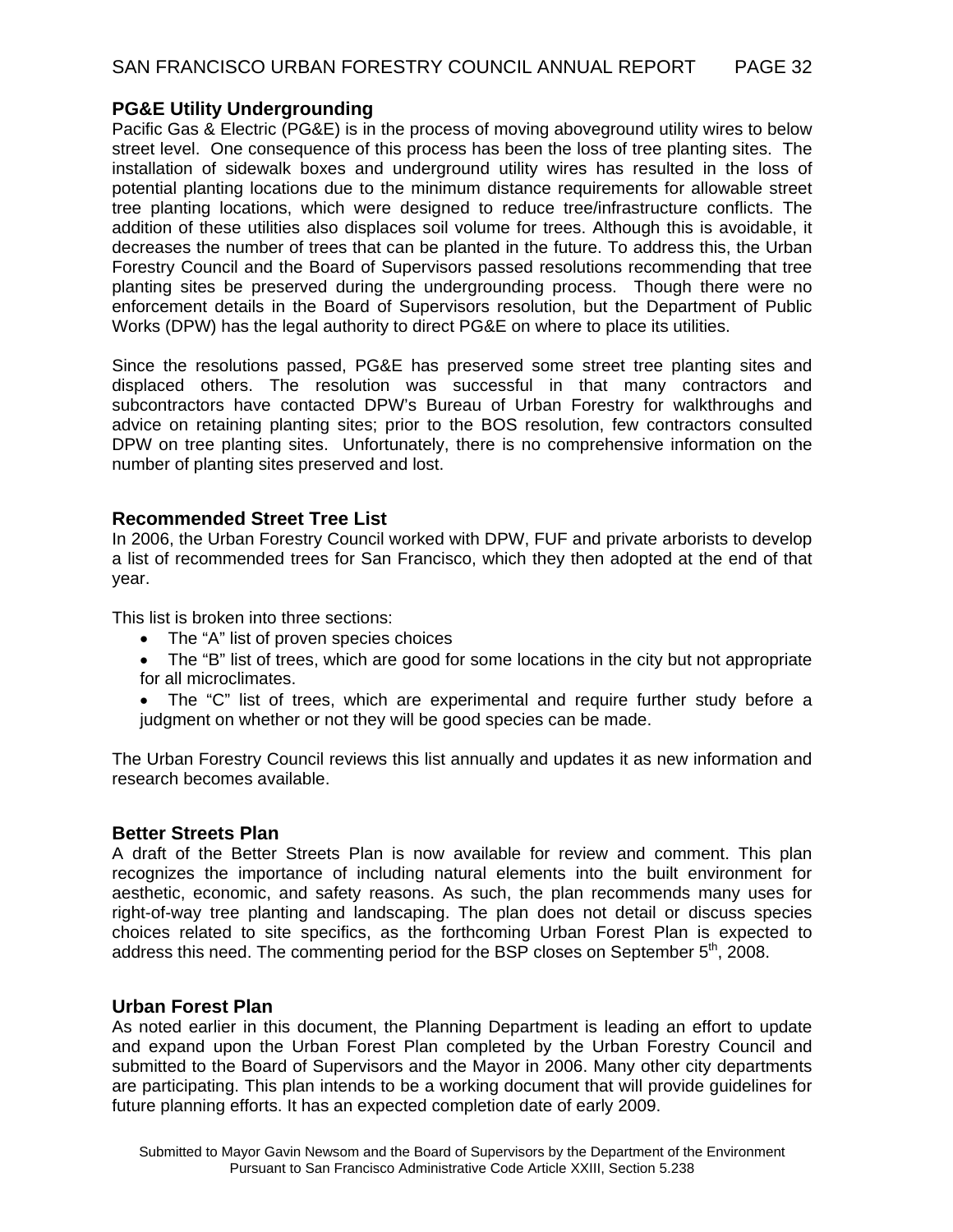### **PG&E Utility Undergrounding**

Pacific Gas & Electric (PG&E) is in the process of moving aboveground utility wires to below street level. One consequence of this process has been the loss of tree planting sites. The installation of sidewalk boxes and underground utility wires has resulted in the loss of potential planting locations due to the minimum distance requirements for allowable street tree planting locations, which were designed to reduce tree/infrastructure conflicts. The addition of these utilities also displaces soil volume for trees. Although this is avoidable, it decreases the number of trees that can be planted in the future. To address this, the Urban Forestry Council and the Board of Supervisors passed resolutions recommending that tree planting sites be preserved during the undergrounding process. Though there were no enforcement details in the Board of Supervisors resolution, but the Department of Public Works (DPW) has the legal authority to direct PG&E on where to place its utilities.

Since the resolutions passed, PG&E has preserved some street tree planting sites and displaced others. The resolution was successful in that many contractors and subcontractors have contacted DPW's Bureau of Urban Forestry for walkthroughs and advice on retaining planting sites; prior to the BOS resolution, few contractors consulted DPW on tree planting sites. Unfortunately, there is no comprehensive information on the number of planting sites preserved and lost.

### **Recommended Street Tree List**

In 2006, the Urban Forestry Council worked with DPW, FUF and private arborists to develop a list of recommended trees for San Francisco, which they then adopted at the end of that year.

This list is broken into three sections:

- The "A" list of proven species choices
- The "B" list of trees, which are good for some locations in the city but not appropriate for all microclimates.
- The "C" list of trees, which are experimental and require further study before a judgment on whether or not they will be good species can be made.

The Urban Forestry Council reviews this list annually and updates it as new information and research becomes available.

### **Better Streets Plan**

A draft of the Better Streets Plan is now available for review and comment. This plan recognizes the importance of including natural elements into the built environment for aesthetic, economic, and safety reasons. As such, the plan recommends many uses for right-of-way tree planting and landscaping. The plan does not detail or discuss species choices related to site specifics, as the forthcoming Urban Forest Plan is expected to address this need. The commenting period for the BSP closes on September 5<sup>th</sup>, 2008.

#### **Urban Forest Plan**

As noted earlier in this document, the Planning Department is leading an effort to update and expand upon the Urban Forest Plan completed by the Urban Forestry Council and submitted to the Board of Supervisors and the Mayor in 2006. Many other city departments are participating. This plan intends to be a working document that will provide guidelines for future planning efforts. It has an expected completion date of early 2009.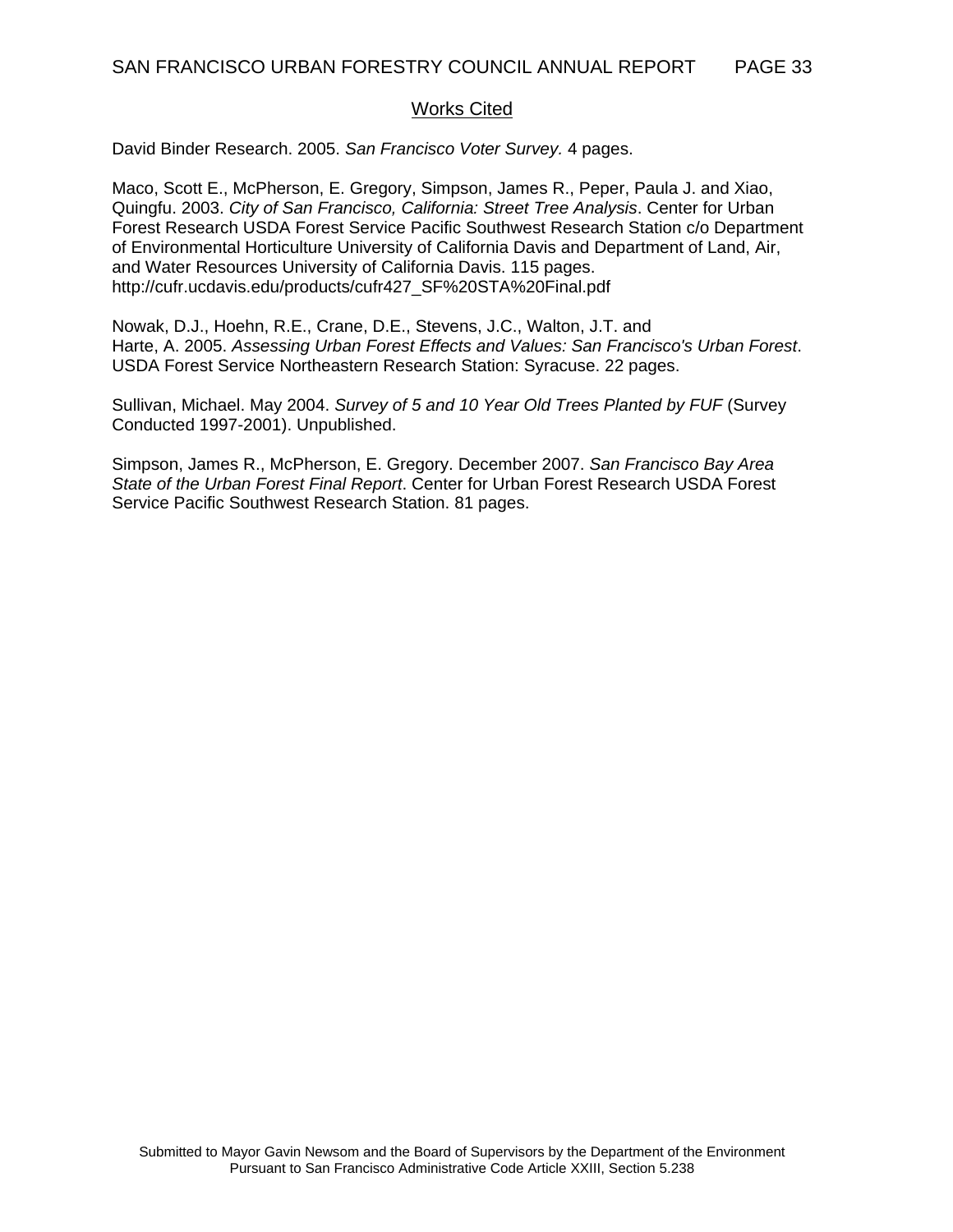#### Works Cited

David Binder Research. 2005. *San Francisco Voter Survey.* 4 pages.

Maco, Scott E., McPherson, E. Gregory, Simpson, James R., Peper, Paula J. and Xiao, Quingfu. 2003. *City of San Francisco, California: Street Tree Analysis*. Center for Urban Forest Research USDA Forest Service Pacific Southwest Research Station c/o Department of Environmental Horticulture University of California Davis and Department of Land, Air, and Water Resources University of California Davis. 115 pages. http://cufr.ucdavis.edu/products/cufr427\_SF%20STA%20Final.pdf

Nowak, D.J., Hoehn, R.E., Crane, D.E., Stevens, J.C., Walton, J.T. and Harte, A. 2005. *Assessing Urban Forest Effects and Values: San Francisco's Urban Forest*. USDA Forest Service Northeastern Research Station: Syracuse. 22 pages.

Sullivan, Michael. May 2004. *Survey of 5 and 10 Year Old Trees Planted by FUF* (Survey Conducted 1997-2001). Unpublished.

Simpson, James R., McPherson, E. Gregory. December 2007. *San Francisco Bay Area State of the Urban Forest Final Report*. Center for Urban Forest Research USDA Forest Service Pacific Southwest Research Station. 81 pages.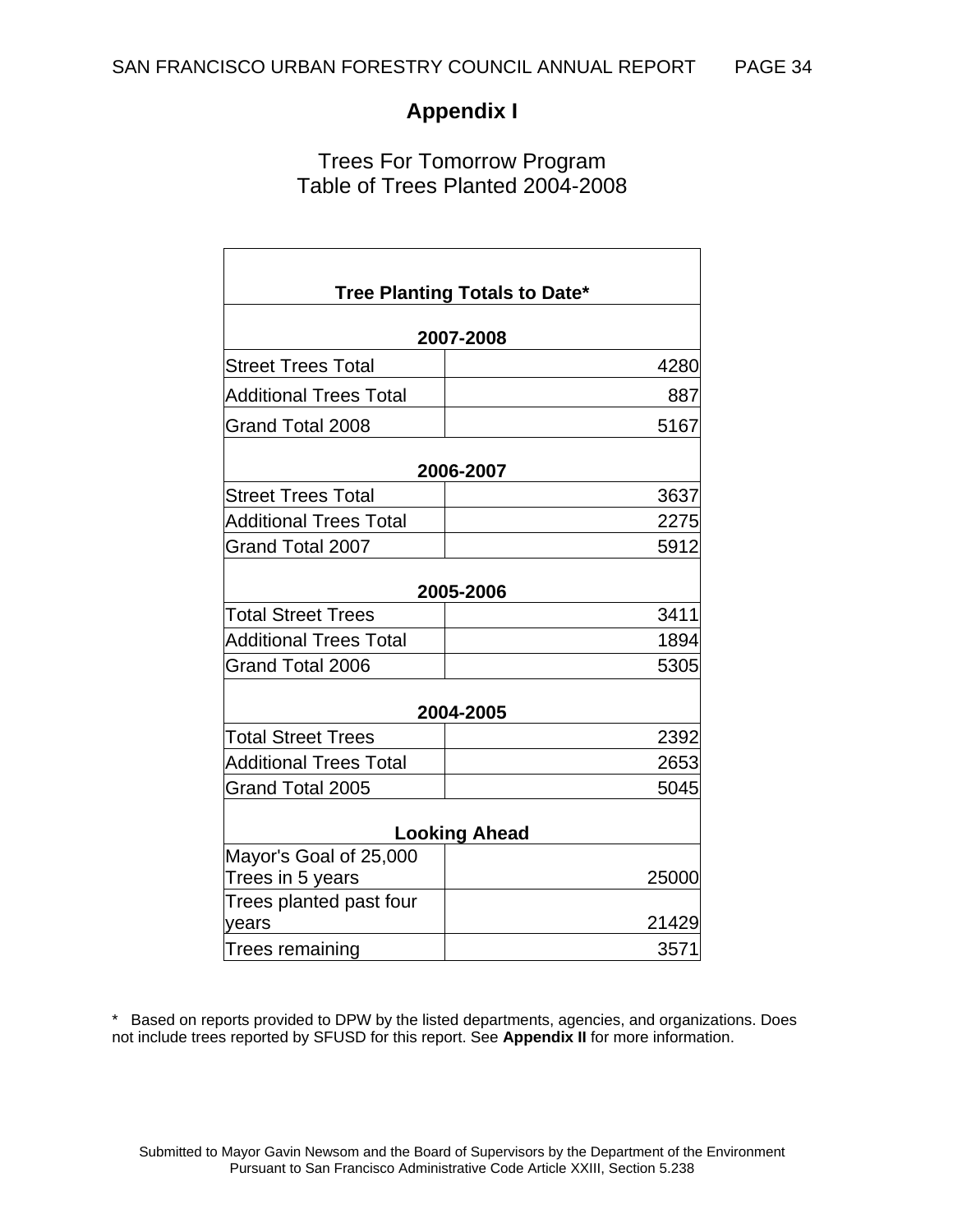# **Appendix I**

# Trees For Tomorrow Program Table of Trees Planted 2004-2008

|                               | Tree Planting Totals to Date* |  |  |  |  |  |  |
|-------------------------------|-------------------------------|--|--|--|--|--|--|
|                               | 2007-2008                     |  |  |  |  |  |  |
| Street Trees Total            | 4280                          |  |  |  |  |  |  |
| <b>Additional Trees Total</b> | 887                           |  |  |  |  |  |  |
| Grand Total 2008              | 5167                          |  |  |  |  |  |  |
|                               | 2006-2007                     |  |  |  |  |  |  |
| <b>Street Trees Total</b>     | 3637                          |  |  |  |  |  |  |
| <b>Additional Trees Total</b> | 2275                          |  |  |  |  |  |  |
| Grand Total 2007              | 5912                          |  |  |  |  |  |  |
|                               | 2005-2006                     |  |  |  |  |  |  |
| <b>Total Street Trees</b>     | 3411                          |  |  |  |  |  |  |
| <b>Additional Trees Total</b> | 1894                          |  |  |  |  |  |  |
| Grand Total 2006              | 5305                          |  |  |  |  |  |  |
|                               | 2004-2005                     |  |  |  |  |  |  |
| <b>Total Street Trees</b>     | 2392                          |  |  |  |  |  |  |
| <b>Additional Trees Total</b> | 2653                          |  |  |  |  |  |  |
| Grand Total 2005              | 5045                          |  |  |  |  |  |  |
| <b>Looking Ahead</b>          |                               |  |  |  |  |  |  |
| Mayor's Goal of 25,000        |                               |  |  |  |  |  |  |
| Trees in 5 years              | 25000                         |  |  |  |  |  |  |
| Trees planted past four       |                               |  |  |  |  |  |  |
| years                         | 21429                         |  |  |  |  |  |  |
| Trees remaining               | 3571                          |  |  |  |  |  |  |

\* Based on reports provided to DPW by the listed departments, agencies, and organizations. Does not include trees reported by SFUSD for this report. See **Appendix II** for more information.